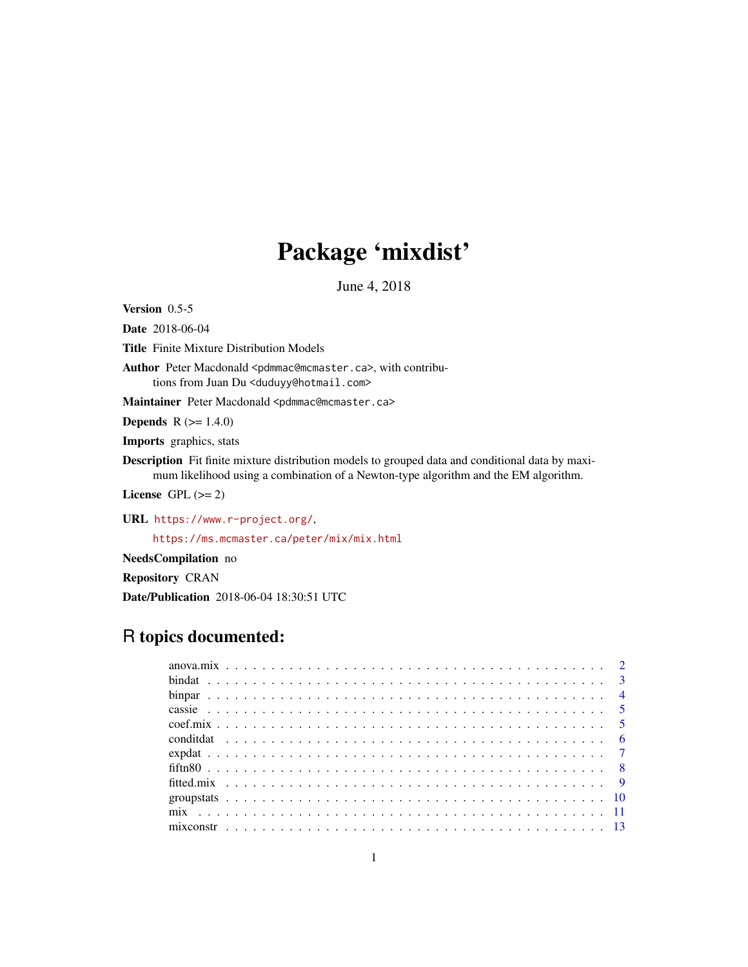# Package 'mixdist'

June 4, 2018

<span id="page-0-0"></span>Version 0.5-5

Date 2018-06-04

Title Finite Mixture Distribution Models

Author Peter Macdonald <pdmmac@mcmaster.ca>, with contributions from Juan Du <duduyy@hotmail.com>

Maintainer Peter Macdonald <pdmmac@mcmaster.ca>

**Depends**  $R (= 1.4.0)$ 

Imports graphics, stats

Description Fit finite mixture distribution models to grouped data and conditional data by maximum likelihood using a combination of a Newton-type algorithm and the EM algorithm.

License GPL  $(>= 2)$ 

URL <https://www.r-project.org/>,

<https://ms.mcmaster.ca/peter/mix/mix.html>

NeedsCompilation no

Repository CRAN

Date/Publication 2018-06-04 18:30:51 UTC

# R topics documented: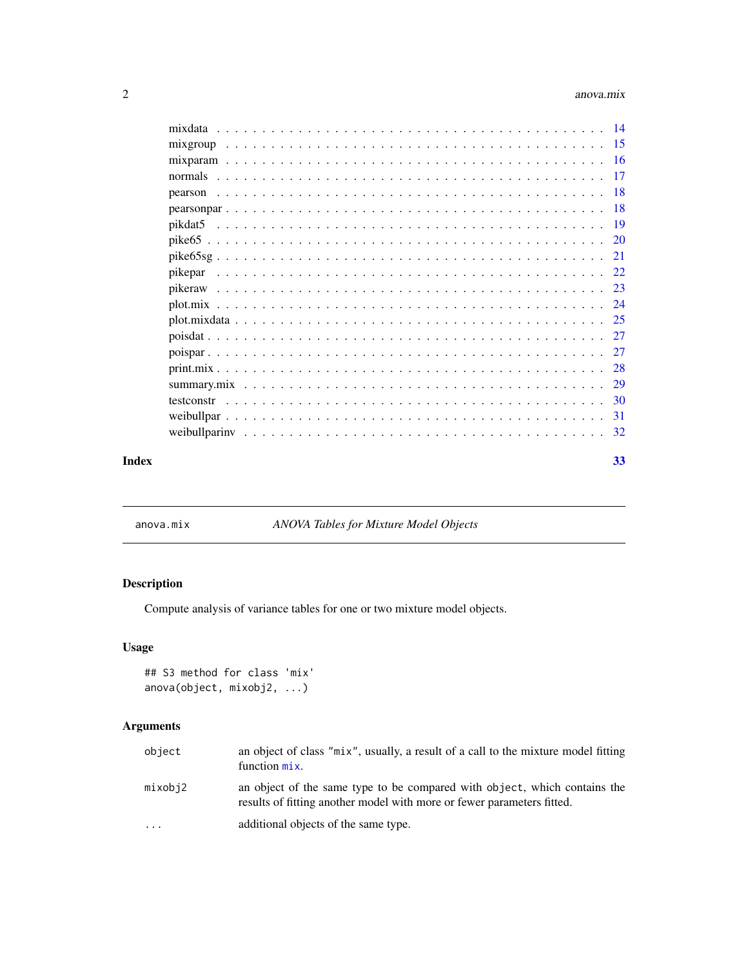<span id="page-1-0"></span>

| testconstr |  |  |  |  |  |  |  |  |  |  |  |  |  |  |  |  |    |
|------------|--|--|--|--|--|--|--|--|--|--|--|--|--|--|--|--|----|
|            |  |  |  |  |  |  |  |  |  |  |  |  |  |  |  |  |    |
|            |  |  |  |  |  |  |  |  |  |  |  |  |  |  |  |  |    |
| Index      |  |  |  |  |  |  |  |  |  |  |  |  |  |  |  |  | 33 |

<span id="page-1-1"></span>anova.mix *ANOVA Tables for Mixture Model Objects*

# Description

Compute analysis of variance tables for one or two mixture model objects.

# Usage

```
## S3 method for class 'mix'
anova(object, mixobj2, ...)
```
# Arguments

| object  | an object of class "mix", usually, a result of a call to the mixture model fitting<br>function $mix$ .                                              |
|---------|-----------------------------------------------------------------------------------------------------------------------------------------------------|
| mixobj2 | an object of the same type to be compared with object, which contains the<br>results of fitting another model with more or fewer parameters fitted. |
| $\cdot$ | additional objects of the same type.                                                                                                                |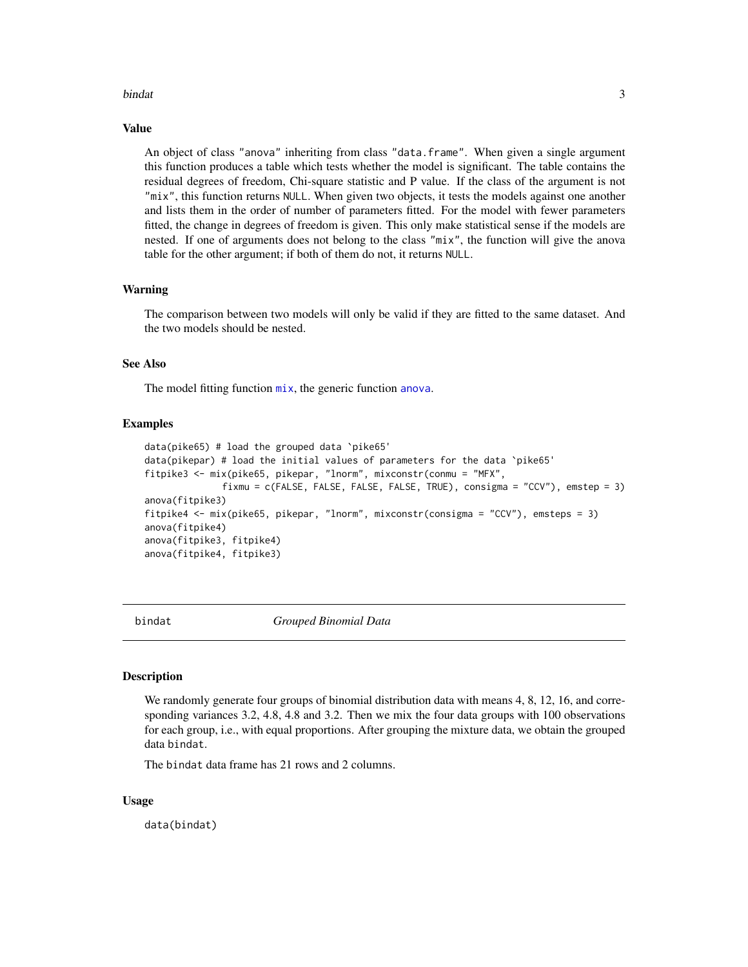#### <span id="page-2-0"></span>bindat 3

#### Value

An object of class "anova" inheriting from class "data.frame". When given a single argument this function produces a table which tests whether the model is significant. The table contains the residual degrees of freedom, Chi-square statistic and P value. If the class of the argument is not "mix", this function returns NULL. When given two objects, it tests the models against one another and lists them in the order of number of parameters fitted. For the model with fewer parameters fitted, the change in degrees of freedom is given. This only make statistical sense if the models are nested. If one of arguments does not belong to the class "mix", the function will give the anova table for the other argument; if both of them do not, it returns NULL.

#### Warning

The comparison between two models will only be valid if they are fitted to the same dataset. And the two models should be nested.

#### See Also

The model fitting function  $mix$ , the generic function [anova](#page-0-0).

#### Examples

```
data(pike65) # load the grouped data `pike65'
data(pikepar) # load the initial values of parameters for the data `pike65'
fitpike3 <- mix(pike65, pikepar, "lnorm", mixconstr(conmu = "MFX",
              fixmu = c(FALSE, FALSE, FALSE, FALSE, TRUE), consigma = "CCV"), emstep = 3)
anova(fitpike3)
fitpike4 <- mix(pike65, pikepar, "lnorm", mixconstr(consigma = "CCV"), emsteps = 3)
anova(fitpike4)
anova(fitpike3, fitpike4)
anova(fitpike4, fitpike3)
```
bindat *Grouped Binomial Data*

#### Description

We randomly generate four groups of binomial distribution data with means 4, 8, 12, 16, and corresponding variances 3.2, 4.8, 4.8 and 3.2. Then we mix the four data groups with 100 observations for each group, i.e., with equal proportions. After grouping the mixture data, we obtain the grouped data bindat.

The bindat data frame has 21 rows and 2 columns.

#### Usage

data(bindat)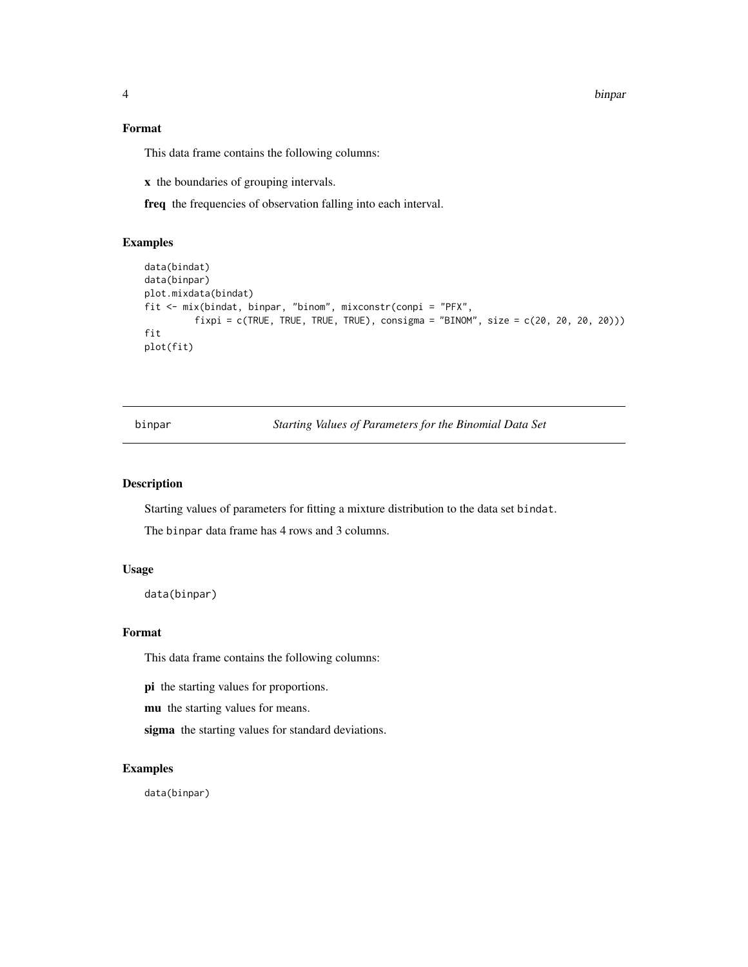<span id="page-3-0"></span>4 binpar

#### Format

This data frame contains the following columns:

x the boundaries of grouping intervals.

freq the frequencies of observation falling into each interval.

# Examples

```
data(bindat)
data(binpar)
plot.mixdata(bindat)
fit <- mix(bindat, binpar, "binom", mixconstr(conpi = "PFX",
         fixpi = c(TRUE, TRUE, TRUE, TRUE, course), consigma = "BINOM", size = c(20, 20, 20, 20))fit
plot(fit)
```
binpar *Starting Values of Parameters for the Binomial Data Set*

# Description

Starting values of parameters for fitting a mixture distribution to the data set bindat.

The binpar data frame has 4 rows and 3 columns.

#### Usage

data(binpar)

#### Format

This data frame contains the following columns:

pi the starting values for proportions.

mu the starting values for means.

sigma the starting values for standard deviations.

# Examples

data(binpar)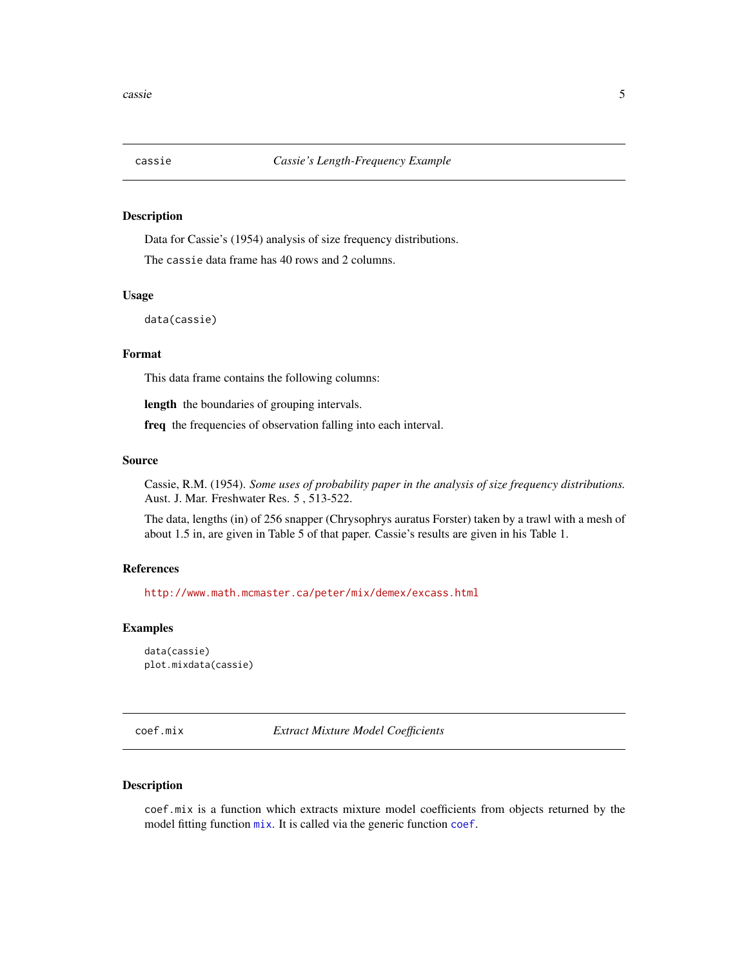<span id="page-4-0"></span>

Data for Cassie's (1954) analysis of size frequency distributions.

The cassie data frame has 40 rows and 2 columns.

#### Usage

data(cassie)

#### Format

This data frame contains the following columns:

length the boundaries of grouping intervals.

freq the frequencies of observation falling into each interval.

#### Source

Cassie, R.M. (1954). *Some uses of probability paper in the analysis of size frequency distributions.* Aust. J. Mar. Freshwater Res. 5 , 513-522.

The data, lengths (in) of 256 snapper (Chrysophrys auratus Forster) taken by a trawl with a mesh of about 1.5 in, are given in Table 5 of that paper. Cassie's results are given in his Table 1.

#### References

<http://www.math.mcmaster.ca/peter/mix/demex/excass.html>

#### Examples

data(cassie) plot.mixdata(cassie)

coef.mix *Extract Mixture Model Coefficients*

# Description

coef.mix is a function which extracts mixture model coefficients from objects returned by the model fitting function  $mix$ . It is called via the generic function [coef](#page-0-0).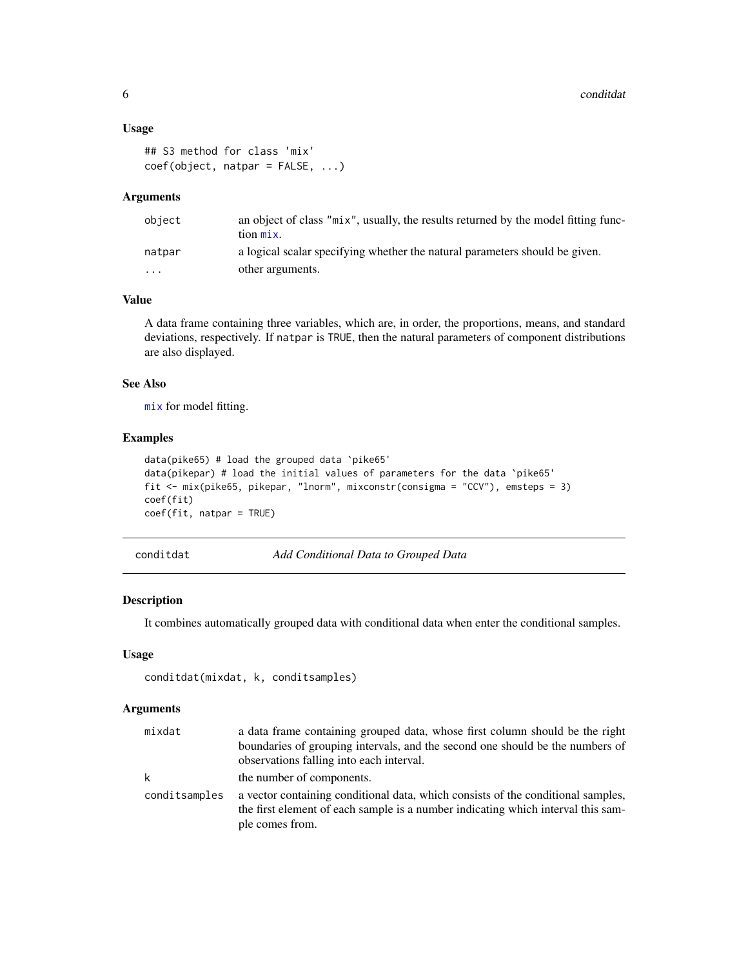#### <span id="page-5-0"></span>Usage

```
## S3 method for class 'mix'
coef(object, natpar = FALSE, ...)
```
### Arguments

| object | an object of class "mix", usually, the results returned by the model fitting func- |
|--------|------------------------------------------------------------------------------------|
|        | tion mix.                                                                          |
| natpar | a logical scalar specifying whether the natural parameters should be given.        |
| .      | other arguments.                                                                   |

#### Value

A data frame containing three variables, which are, in order, the proportions, means, and standard deviations, respectively. If natpar is TRUE, then the natural parameters of component distributions are also displayed.

# See Also

[mix](#page-10-1) for model fitting.

#### Examples

```
data(pike65) # load the grouped data `pike65'
data(pikepar) # load the initial values of parameters for the data `pike65'
fit <- mix(pike65, pikepar, "lnorm", mixconstr(consigma = "CCV"), emsteps = 3)
coef(fit)
coef(fit, natpar = TRUE)
```
conditdat *Add Conditional Data to Grouped Data*

#### Description

It combines automatically grouped data with conditional data when enter the conditional samples.

#### Usage

```
conditdat(mixdat, k, conditsamples)
```
#### Arguments

| mixdat        | a data frame containing grouped data, whose first column should be the right                                                                                                            |
|---------------|-----------------------------------------------------------------------------------------------------------------------------------------------------------------------------------------|
|               | boundaries of grouping intervals, and the second one should be the numbers of                                                                                                           |
|               | observations falling into each interval.                                                                                                                                                |
| k             | the number of components.                                                                                                                                                               |
| conditsamples | a vector containing conditional data, which consists of the conditional samples,<br>the first element of each sample is a number indicating which interval this sam-<br>ple comes from. |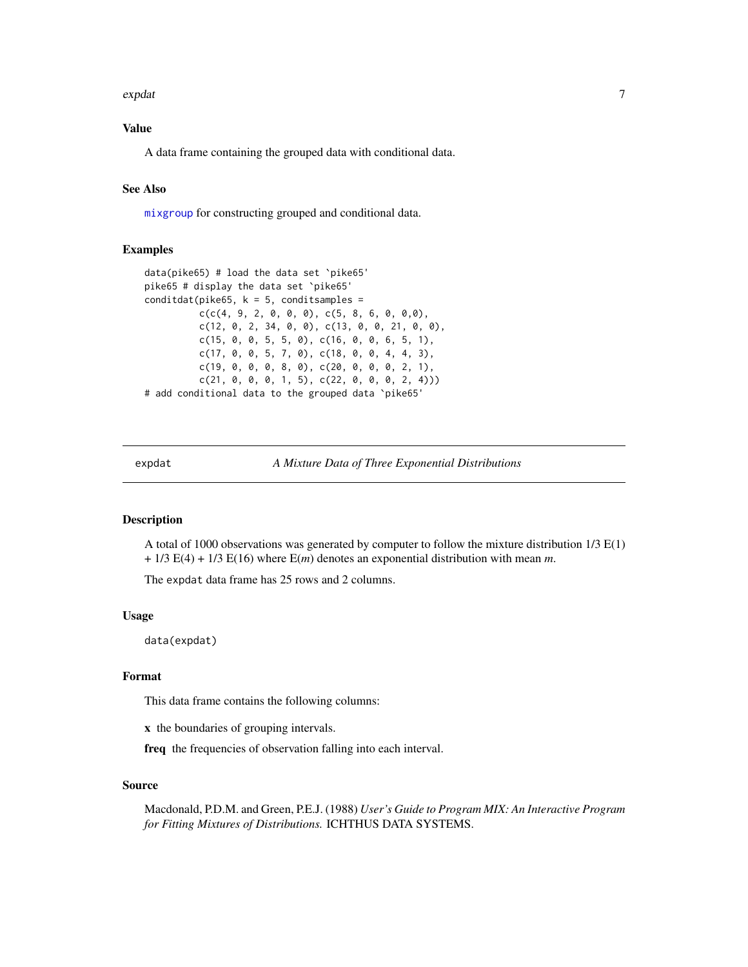#### <span id="page-6-0"></span>expdat 7 and 7 and 7 and 7 and 7 and 7 and 7 and 7 and 7 and 7 and 7 and 7 and 7 and 7 and 7 and 7 and 7 and 7

# Value

A data frame containing the grouped data with conditional data.

# See Also

[mixgroup](#page-14-1) for constructing grouped and conditional data.

### Examples

```
data(pike65) # load the data set `pike65'
pike65 # display the data set `pike65'
conditdat(pike65, k = 5, conditsamples =
          c(c(4, 9, 2, 0, 0, 0), c(5, 8, 6, 0, 0, 0),c(12, 0, 2, 34, 0, 0), c(13, 0, 0, 21, 0, 0),
          c(15, 0, 0, 5, 5, 0), c(16, 0, 0, 6, 5, 1),
          c(17, 0, 0, 5, 7, 0), c(18, 0, 0, 4, 4, 3),
          c(19, 0, 0, 0, 8, 0), c(20, 0, 0, 0, 2, 1),
          c(21, 0, 0, 0, 1, 5), c(22, 0, 0, 0, 2, 4))# add conditional data to the grouped data `pike65'
```
expdat *A Mixture Data of Three Exponential Distributions*

#### **Description**

A total of 1000 observations was generated by computer to follow the mixture distribution 1/3 E(1) + 1/3 E(4) + 1/3 E(16) where E(*m*) denotes an exponential distribution with mean *m*.

The expdat data frame has 25 rows and 2 columns.

#### Usage

data(expdat)

#### Format

This data frame contains the following columns:

x the boundaries of grouping intervals.

freq the frequencies of observation falling into each interval.

#### Source

Macdonald, P.D.M. and Green, P.E.J. (1988) *User's Guide to Program MIX: An Interactive Program for Fitting Mixtures of Distributions.* ICHTHUS DATA SYSTEMS.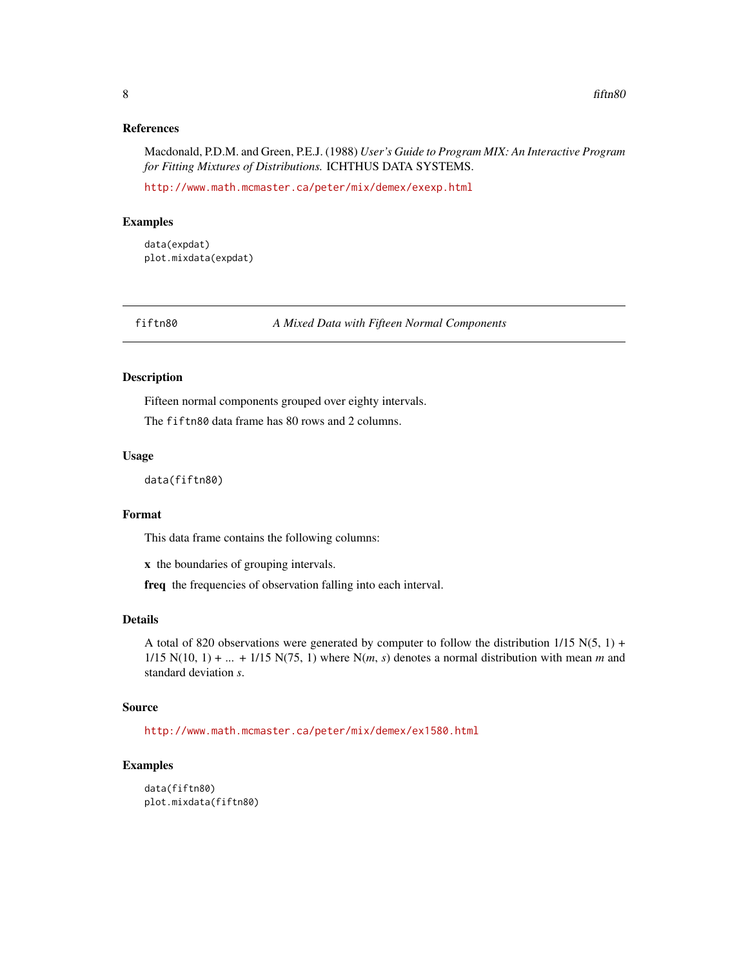#### <span id="page-7-0"></span>References

Macdonald, P.D.M. and Green, P.E.J. (1988) *User's Guide to Program MIX: An Interactive Program for Fitting Mixtures of Distributions.* ICHTHUS DATA SYSTEMS.

<http://www.math.mcmaster.ca/peter/mix/demex/exexp.html>

# Examples

data(expdat) plot.mixdata(expdat)

fiftn80 *A Mixed Data with Fifteen Normal Components*

#### Description

Fifteen normal components grouped over eighty intervals.

The fiftn80 data frame has 80 rows and 2 columns.

# Usage

data(fiftn80)

# Format

This data frame contains the following columns:

x the boundaries of grouping intervals.

freq the frequencies of observation falling into each interval.

#### Details

A total of 820 observations were generated by computer to follow the distribution  $1/15$  N(5, 1) +  $1/15$  N(10, 1) + ... + 1/15 N(75, 1) where N(*m*, *s*) denotes a normal distribution with mean *m* and standard deviation *s*.

# Source

<http://www.math.mcmaster.ca/peter/mix/demex/ex1580.html>

```
data(fiftn80)
plot.mixdata(fiftn80)
```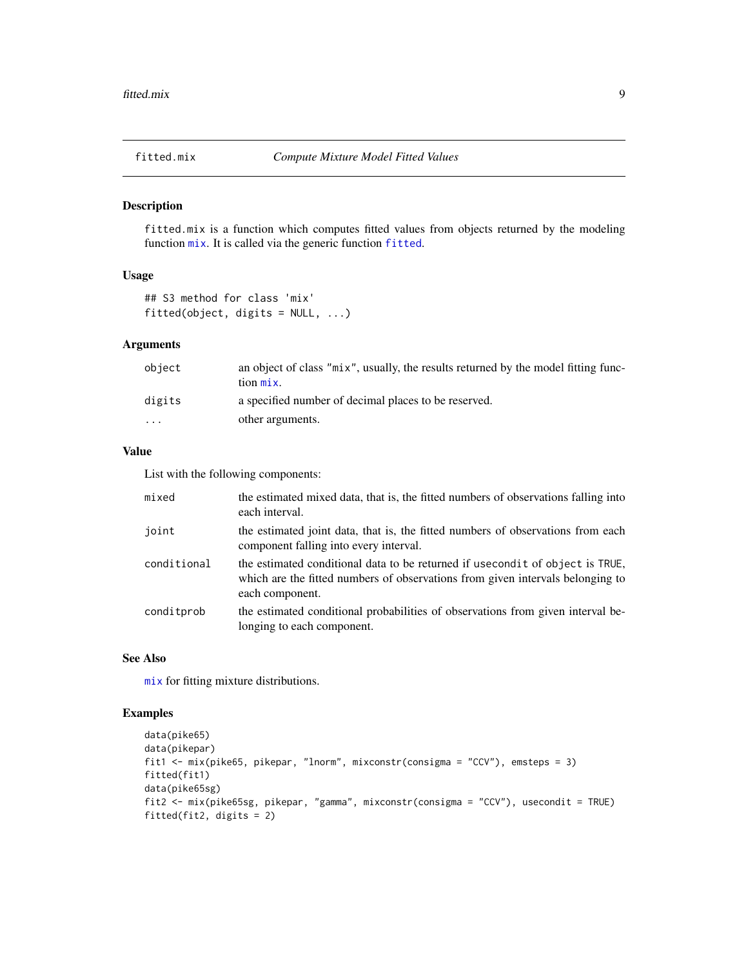<span id="page-8-0"></span>

fitted.mix is a function which computes fitted values from objects returned by the modeling function [mix](#page-10-1). It is called via the generic function [fitted](#page-0-0).

# Usage

## S3 method for class 'mix' fitted(object, digits = NULL, ...)

# Arguments

| object  | an object of class "mix", usually, the results returned by the model fitting func-<br>$\[\text{tion}\ \text{mix}\]$ . |
|---------|-----------------------------------------------------------------------------------------------------------------------|
| digits  | a specified number of decimal places to be reserved.                                                                  |
| $\cdot$ | other arguments.                                                                                                      |

# Value

List with the following components:

| mixed       | the estimated mixed data, that is, the fitted numbers of observations falling into<br>each interval.                                                                                |
|-------------|-------------------------------------------------------------------------------------------------------------------------------------------------------------------------------------|
| joint       | the estimated joint data, that is, the fitted numbers of observations from each<br>component falling into every interval.                                                           |
| conditional | the estimated conditional data to be returned if usecond it of object is TRUE,<br>which are the fitted numbers of observations from given intervals belonging to<br>each component. |
| conditprob  | the estimated conditional probabilities of observations from given interval be-<br>longing to each component.                                                                       |

# See Also

[mix](#page-10-1) for fitting mixture distributions.

```
data(pike65)
data(pikepar)
fit1 <- mix(pike65, pikepar, "lnorm", mixconstr(consigma = "CCV"), emsteps = 3)
fitted(fit1)
data(pike65sg)
fit2 <- mix(pike65sg, pikepar, "gamma", mixconstr(consigma = "CCV"), usecondit = TRUE)
fitted(fit2, digits = 2)
```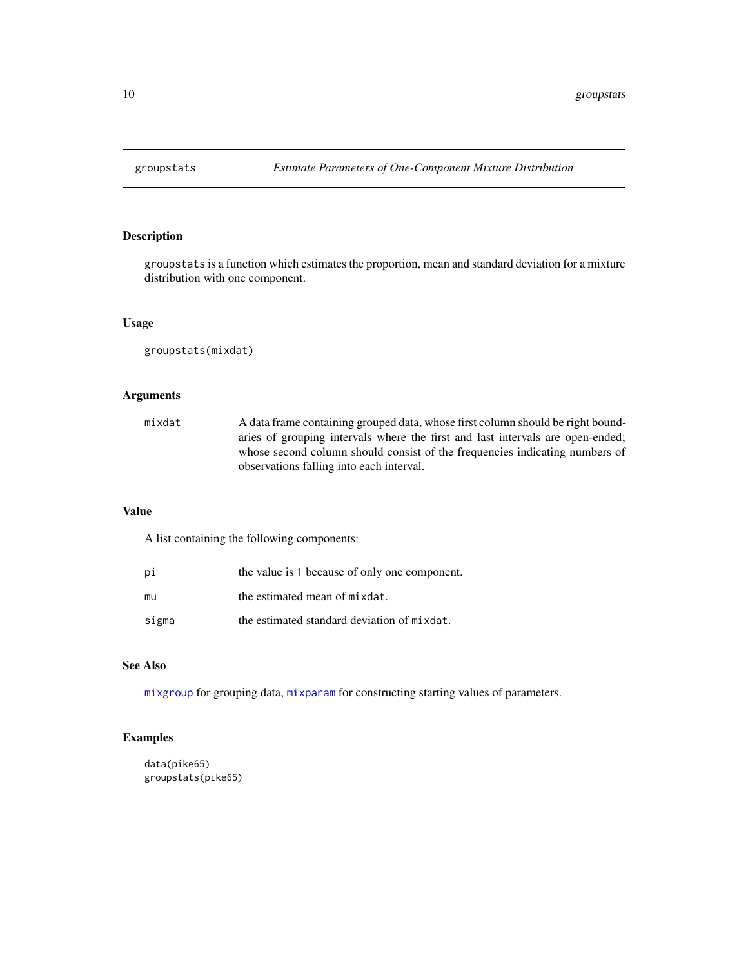<span id="page-9-0"></span>

groupstats is a function which estimates the proportion, mean and standard deviation for a mixture distribution with one component.

#### Usage

groupstats(mixdat)

# Arguments

| mixdat | A data frame containing grouped data, whose first column should be right bound- |
|--------|---------------------------------------------------------------------------------|
|        | aries of grouping intervals where the first and last intervals are open-ended;  |
|        | whose second column should consist of the frequencies indicating numbers of     |
|        | observations falling into each interval.                                        |

# Value

A list containing the following components:

| рi    | the value is 1 because of only one component. |
|-------|-----------------------------------------------|
| mu    | the estimated mean of mixdat.                 |
| sigma | the estimated standard deviation of mixdat.   |

# See Also

[mixgroup](#page-14-1) for grouping data, [mixparam](#page-15-1) for constructing starting values of parameters.

```
data(pike65)
groupstats(pike65)
```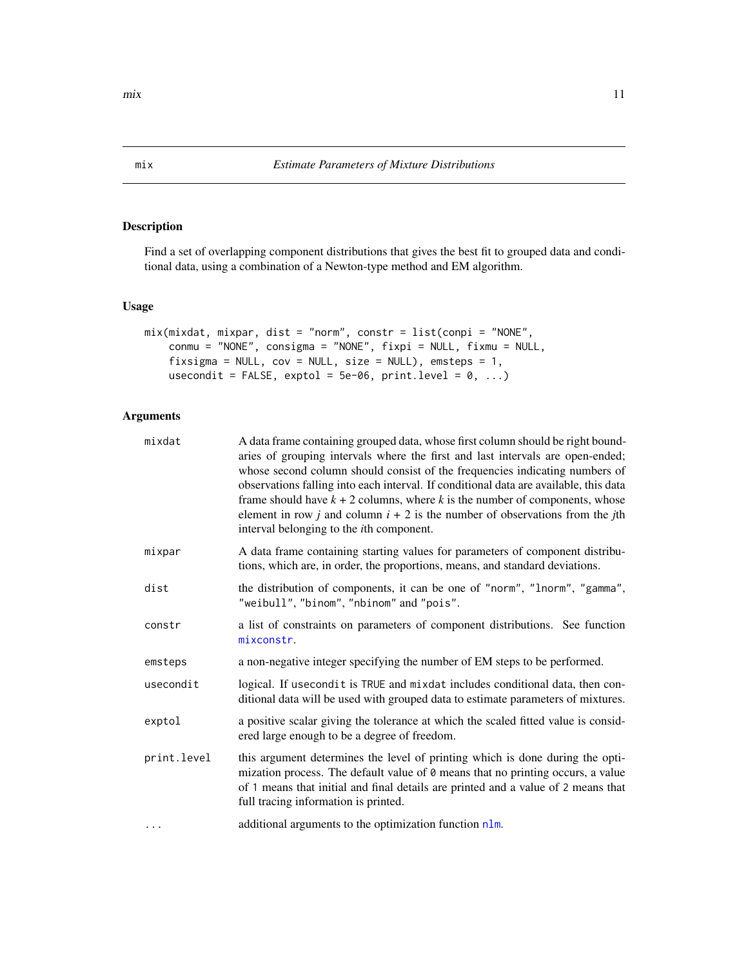Find a set of overlapping component distributions that gives the best fit to grouped data and conditional data, using a combination of a Newton-type method and EM algorithm.

#### Usage

```
mix(mixdat, mixpar, dist = "norm", constr = list(conpi = "NONE",
   conmu = "NONE", consigma = "NONE", fixpi = NULL, fixmu = NULL,
    fixsigma = NULL, cov = NULL, size = NULL), emsteps = 1,
   usecondit = FALSE, exptol = 5e-06, print.level = 0, ...)
```
# Arguments

| mixdat      | A data frame containing grouped data, whose first column should be right bound-<br>aries of grouping intervals where the first and last intervals are open-ended;<br>whose second column should consist of the frequencies indicating numbers of<br>observations falling into each interval. If conditional data are available, this data<br>frame should have $k + 2$ columns, where k is the number of components, whose<br>element in row j and column $i + 2$ is the number of observations from the jth<br>interval belonging to the <i>i</i> th component. |
|-------------|------------------------------------------------------------------------------------------------------------------------------------------------------------------------------------------------------------------------------------------------------------------------------------------------------------------------------------------------------------------------------------------------------------------------------------------------------------------------------------------------------------------------------------------------------------------|
| mixpar      | A data frame containing starting values for parameters of component distribu-<br>tions, which are, in order, the proportions, means, and standard deviations.                                                                                                                                                                                                                                                                                                                                                                                                    |
| dist        | the distribution of components, it can be one of "norm", "lnorm", "gamma",<br>"weibull", "binom", "nbinom" and "pois".                                                                                                                                                                                                                                                                                                                                                                                                                                           |
| constr      | a list of constraints on parameters of component distributions. See function<br>mixconstr.                                                                                                                                                                                                                                                                                                                                                                                                                                                                       |
| emsteps     | a non-negative integer specifying the number of EM steps to be performed.                                                                                                                                                                                                                                                                                                                                                                                                                                                                                        |
| usecondit   | logical. If usecondit is TRUE and mixdat includes conditional data, then con-<br>ditional data will be used with grouped data to estimate parameters of mixtures.                                                                                                                                                                                                                                                                                                                                                                                                |
| exptol      | a positive scalar giving the tolerance at which the scaled fitted value is consid-<br>ered large enough to be a degree of freedom.                                                                                                                                                                                                                                                                                                                                                                                                                               |
| print.level | this argument determines the level of printing which is done during the opti-<br>mization process. The default value of $\theta$ means that no printing occurs, a value<br>of 1 means that initial and final details are printed and a value of 2 means that<br>full tracing information is printed.                                                                                                                                                                                                                                                             |
| $\cdots$    | additional arguments to the optimization function nlm.                                                                                                                                                                                                                                                                                                                                                                                                                                                                                                           |

<span id="page-10-1"></span><span id="page-10-0"></span>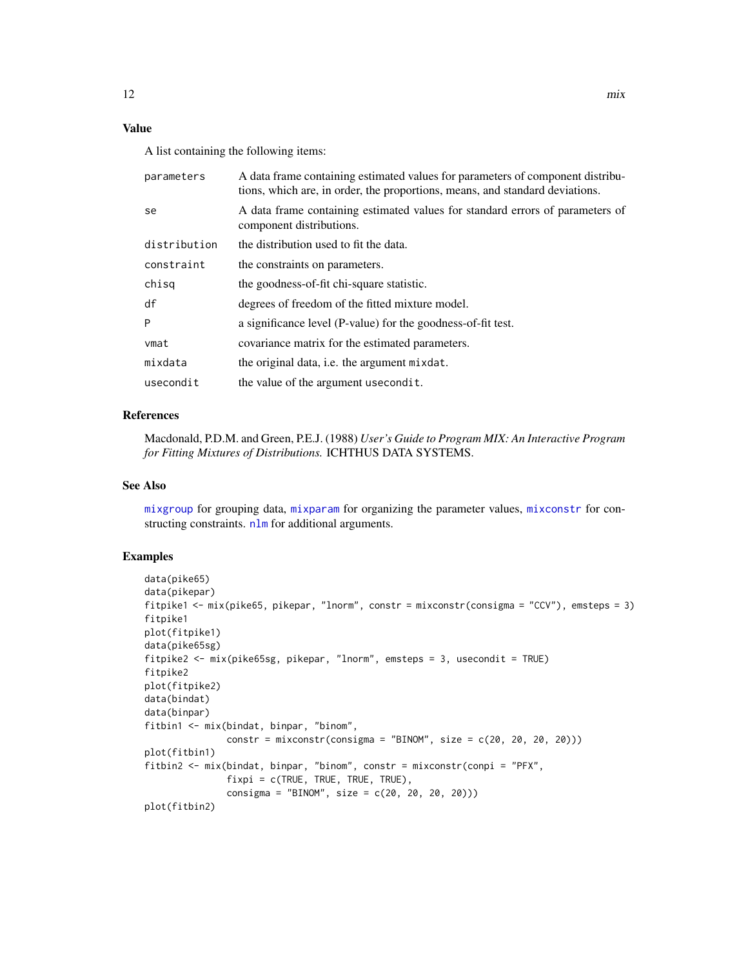# <span id="page-11-0"></span>Value

A list containing the following items:

| parameters   | A data frame containing estimated values for parameters of component distribu-<br>tions, which are, in order, the proportions, means, and standard deviations. |
|--------------|----------------------------------------------------------------------------------------------------------------------------------------------------------------|
| se           | A data frame containing estimated values for standard errors of parameters of<br>component distributions.                                                      |
| distribution | the distribution used to fit the data.                                                                                                                         |
| constraint   | the constraints on parameters.                                                                                                                                 |
| chisg        | the goodness-of-fit chi-square statistic.                                                                                                                      |
| df           | degrees of freedom of the fitted mixture model.                                                                                                                |
| P            | a significance level (P-value) for the goodness-of-fit test.                                                                                                   |
| vmat         | covariance matrix for the estimated parameters.                                                                                                                |
| mixdata      | the original data, <i>i.e.</i> the argument mixdat.                                                                                                            |
| usecondit    | the value of the argument usecondit.                                                                                                                           |

#### References

Macdonald, P.D.M. and Green, P.E.J. (1988) *User's Guide to Program MIX: An Interactive Program for Fitting Mixtures of Distributions.* ICHTHUS DATA SYSTEMS.

#### See Also

[mixgroup](#page-14-1) for grouping data, [mixparam](#page-15-1) for organizing the parameter values, [mixconstr](#page-12-1) for constructing constraints. [nlm](#page-0-0) for additional arguments.

```
data(pike65)
data(pikepar)
fitpike1 <- mix(pike65, pikepar, "lnorm", constr = mixconstr(consigma = "CCV"), emsteps = 3)
fitpike1
plot(fitpike1)
data(pike65sg)
fitpike2 <- mix(pike65sg, pikepar, "lnorm", emsteps = 3, usecondit = TRUE)
fitpike2
plot(fitpike2)
data(bindat)
data(binpar)
fitbin1 <- mix(bindat, binpar, "binom",
               constr = mixconstr(consigma = "BINOM", size = c(20, 20, 20, 20))plot(fitbin1)
fitbin2 <- mix(bindat, binpar, "binom", constr = mixconstr(conpi = "PFX",
               fixpi = c(TRUE, TRUE, TRUE, TRUE),
               consigma = "BINOM", size = c(20, 20, 20, 20)))
plot(fitbin2)
```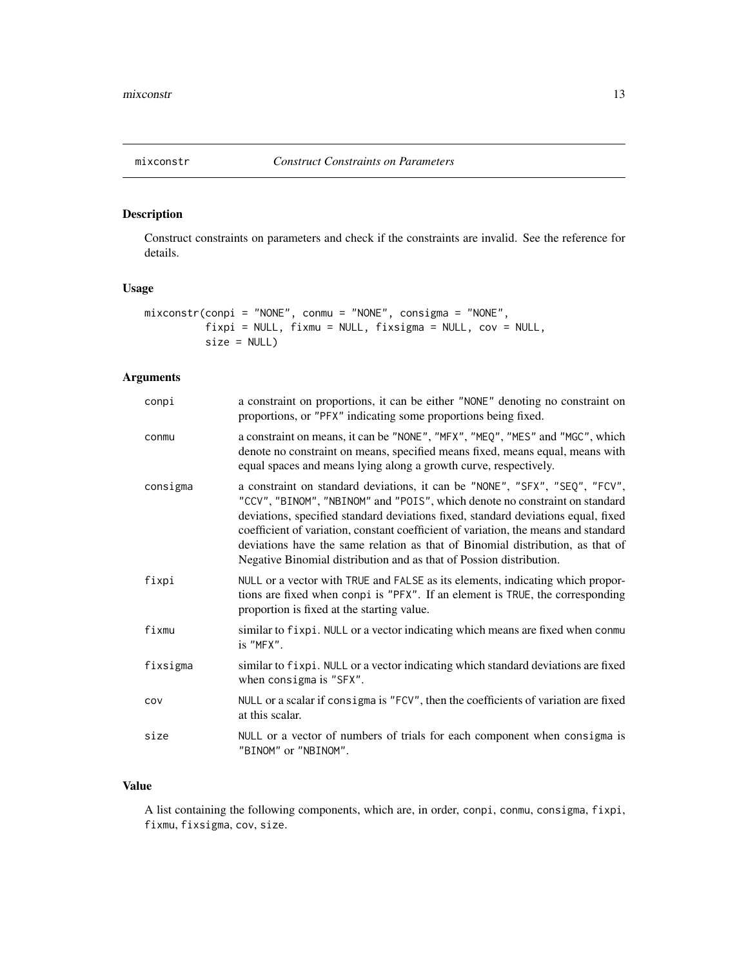<span id="page-12-1"></span><span id="page-12-0"></span>

Construct constraints on parameters and check if the constraints are invalid. See the reference for details.

# Usage

```
mixconstr(conpi = "NONE", conmu = "NONE", consigma = "NONE",
          fixpi = NULL, fixmu = NULL, fixsigma = NULL, cov = NULL,
          size = NULL)
```
# Arguments

| conpi    | a constraint on proportions, it can be either "NONE" denoting no constraint on<br>proportions, or "PFX" indicating some proportions being fixed.                                                                                                                                                                                                                                                                                                                                                |
|----------|-------------------------------------------------------------------------------------------------------------------------------------------------------------------------------------------------------------------------------------------------------------------------------------------------------------------------------------------------------------------------------------------------------------------------------------------------------------------------------------------------|
| conmu    | a constraint on means, it can be "NONE", "MFX", "MEQ", "MES" and "MGC", which<br>denote no constraint on means, specified means fixed, means equal, means with<br>equal spaces and means lying along a growth curve, respectively.                                                                                                                                                                                                                                                              |
| consigma | a constraint on standard deviations, it can be "NONE", "SFX", "SEQ", "FCV",<br>"CCV", "BINOM", "NBINOM" and "POIS", which denote no constraint on standard<br>deviations, specified standard deviations fixed, standard deviations equal, fixed<br>coefficient of variation, constant coefficient of variation, the means and standard<br>deviations have the same relation as that of Binomial distribution, as that of<br>Negative Binomial distribution and as that of Possion distribution. |
| fixpi    | NULL or a vector with TRUE and FALSE as its elements, indicating which propor-<br>tions are fixed when conpi is "PFX". If an element is TRUE, the corresponding<br>proportion is fixed at the starting value.                                                                                                                                                                                                                                                                                   |
| fixmu    | similar to fixpi. NULL or a vector indicating which means are fixed when conmu<br>is "MFX".                                                                                                                                                                                                                                                                                                                                                                                                     |
| fixsigma | similar to fixpi. NULL or a vector indicating which standard deviations are fixed<br>when consigma is "SFX".                                                                                                                                                                                                                                                                                                                                                                                    |
| COV      | NULL or a scalar if consigma is "FCV", then the coefficients of variation are fixed<br>at this scalar.                                                                                                                                                                                                                                                                                                                                                                                          |
| size     | NULL or a vector of numbers of trials for each component when consigma is<br>"BINOM" or "NBINOM".                                                                                                                                                                                                                                                                                                                                                                                               |

#### Value

A list containing the following components, which are, in order, conpi, conmu, consigma, fixpi, fixmu, fixsigma, cov, size.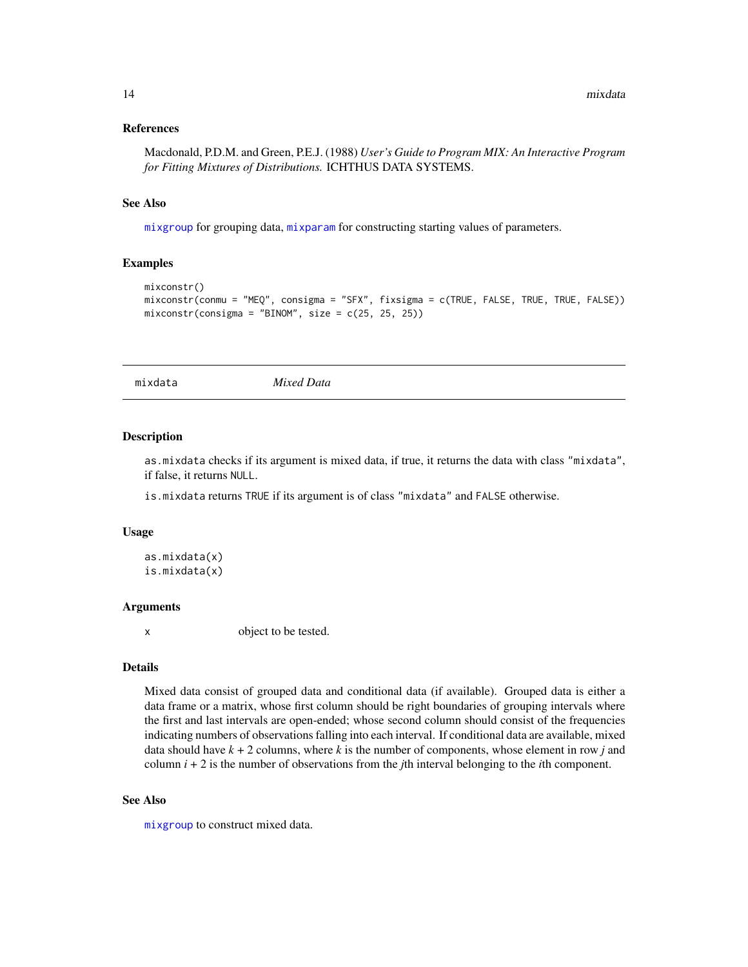#### <span id="page-13-0"></span>References

Macdonald, P.D.M. and Green, P.E.J. (1988) *User's Guide to Program MIX: An Interactive Program for Fitting Mixtures of Distributions.* ICHTHUS DATA SYSTEMS.

#### See Also

[mixgroup](#page-14-1) for grouping data, [mixparam](#page-15-1) for constructing starting values of parameters.

#### Examples

```
mixconstr()
mixconstr(conmu = "MEQ", consigma = "SFX", fixsigma = c(TRUE, FALSE, TRUE, TRUE, FALSE))
mixconstr(consigma = "BINOM", size = c(25, 25, 25))
```
mixdata *Mixed Data*

#### <span id="page-13-1"></span>Description

as.mixdata checks if its argument is mixed data, if true, it returns the data with class "mixdata", if false, it returns NULL.

is.mixdata returns TRUE if its argument is of class "mixdata" and FALSE otherwise.

#### Usage

```
as.mixdata(x)
is.mixdata(x)
```
#### **Arguments**

x object to be tested.

#### Details

Mixed data consist of grouped data and conditional data (if available). Grouped data is either a data frame or a matrix, whose first column should be right boundaries of grouping intervals where the first and last intervals are open-ended; whose second column should consist of the frequencies indicating numbers of observations falling into each interval. If conditional data are available, mixed data should have  $k + 2$  columns, where  $k$  is the number of components, whose element in row  $j$  and column  $i + 2$  is the number of observations from the *j*th interval belonging to the *i*th component.

#### See Also

[mixgroup](#page-14-1) to construct mixed data.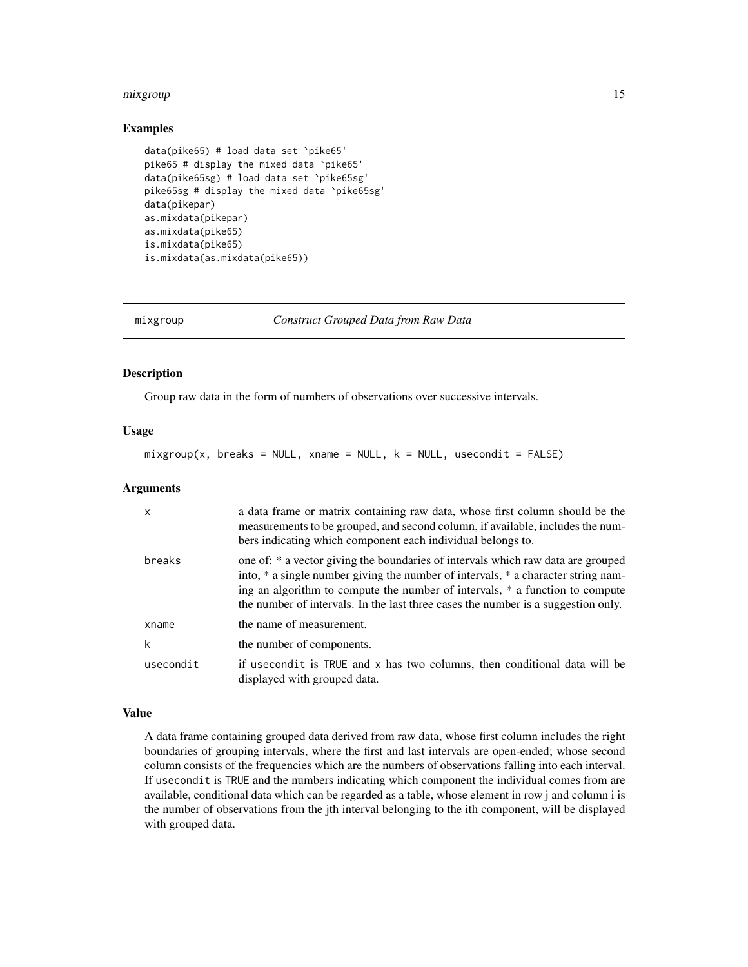#### <span id="page-14-0"></span>mixgroup 15

#### Examples

```
data(pike65) # load data set `pike65'
pike65 # display the mixed data `pike65'
data(pike65sg) # load data set `pike65sg'
pike65sg # display the mixed data `pike65sg'
data(pikepar)
as.mixdata(pikepar)
as.mixdata(pike65)
is.mixdata(pike65)
is.mixdata(as.mixdata(pike65))
```
<span id="page-14-1"></span>

mixgroup *Construct Grouped Data from Raw Data*

#### Description

Group raw data in the form of numbers of observations over successive intervals.

#### Usage

 $mixgroup(x, breaks = NULL, xname = NULL, k = NULL, usecondit = FALSE)$ 

#### **Arguments**

| $\mathsf{x}$ | a data frame or matrix containing raw data, whose first column should be the<br>measurements to be grouped, and second column, if available, includes the num-<br>bers indicating which component each individual belongs to.                                                                                                              |
|--------------|--------------------------------------------------------------------------------------------------------------------------------------------------------------------------------------------------------------------------------------------------------------------------------------------------------------------------------------------|
| breaks       | one of: * a vector giving the boundaries of intervals which raw data are grouped<br>into, * a single number giving the number of intervals, * a character string nam-<br>ing an algorithm to compute the number of intervals, * a function to compute<br>the number of intervals. In the last three cases the number is a suggestion only. |
| xname        | the name of measurement.                                                                                                                                                                                                                                                                                                                   |
| k            | the number of components.                                                                                                                                                                                                                                                                                                                  |
| usecondit    | if usecondit is TRUE and x has two columns, then conditional data will be<br>displayed with grouped data.                                                                                                                                                                                                                                  |

# Value

A data frame containing grouped data derived from raw data, whose first column includes the right boundaries of grouping intervals, where the first and last intervals are open-ended; whose second column consists of the frequencies which are the numbers of observations falling into each interval. If usecondit is TRUE and the numbers indicating which component the individual comes from are available, conditional data which can be regarded as a table, whose element in row j and column i is the number of observations from the jth interval belonging to the ith component, will be displayed with grouped data.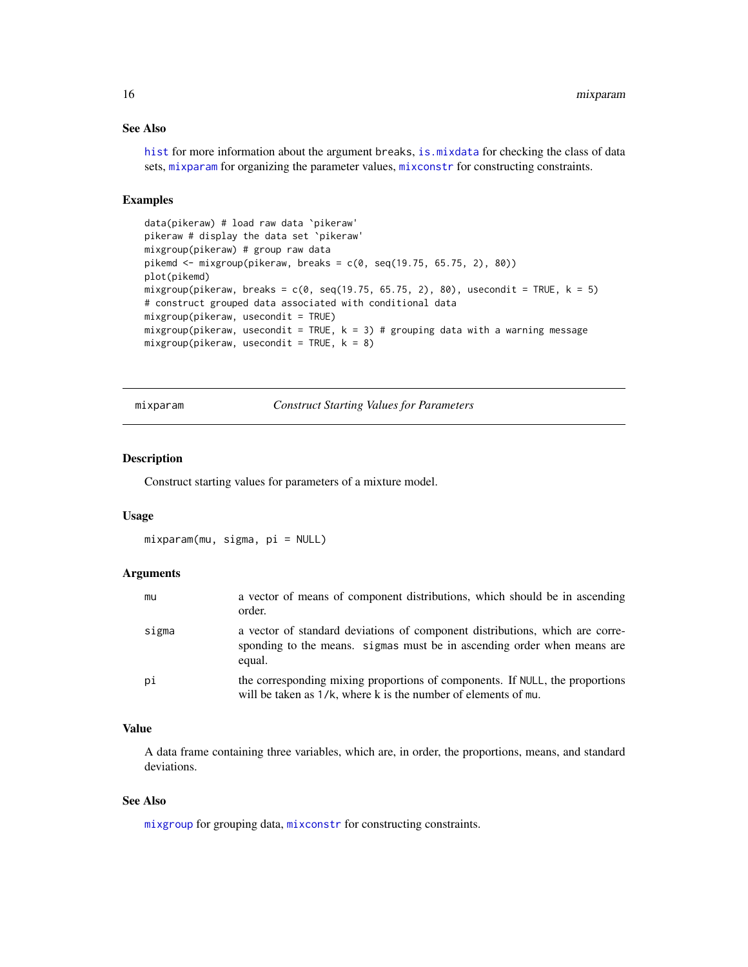# See Also

[hist](#page-0-0) for more information about the argument breaks, [is.mixdata](#page-13-1) for checking the class of data sets, [mixparam](#page-15-1) for organizing the parameter values, [mixconstr](#page-12-1) for constructing constraints.

# Examples

```
data(pikeraw) # load raw data `pikeraw'
pikeraw # display the data set `pikeraw'
mixgroup(pikeraw) # group raw data
pikemd \leq mixgroup(pikeraw, breaks = c(0, seq(19.75, 65.75, 2), 80))
plot(pikemd)
mixgroup(pikeraw, breaks = c(0, seq(19.75, 65.75, 2), 80), usecondit = TRUE, k = 5)# construct grouped data associated with conditional data
mixgroup(pikeraw, usecondit = TRUE)
mixgroup(pikeraw, usecondit = TRUE, k = 3) # grouping data with a warning message
mixgroup(pikeraw, usecondit = TRUE, k = 8)
```
mixparam *Construct Starting Values for Parameters*

#### Description

Construct starting values for parameters of a mixture model.

### Usage

mixparam(mu, sigma, pi = NULL)

#### **Arguments**

| mu    | a vector of means of component distributions, which should be in ascending<br>order.                                                                              |
|-------|-------------------------------------------------------------------------------------------------------------------------------------------------------------------|
| sigma | a vector of standard deviations of component distributions, which are corre-<br>sponding to the means. sigmas must be in ascending order when means are<br>equal. |
| рi    | the corresponding mixing proportions of components. If NULL, the proportions<br>will be taken as $1/k$ , where k is the number of elements of mu.                 |

#### Value

A data frame containing three variables, which are, in order, the proportions, means, and standard deviations.

# See Also

[mixgroup](#page-14-1) for grouping data, [mixconstr](#page-12-1) for constructing constraints.

<span id="page-15-0"></span>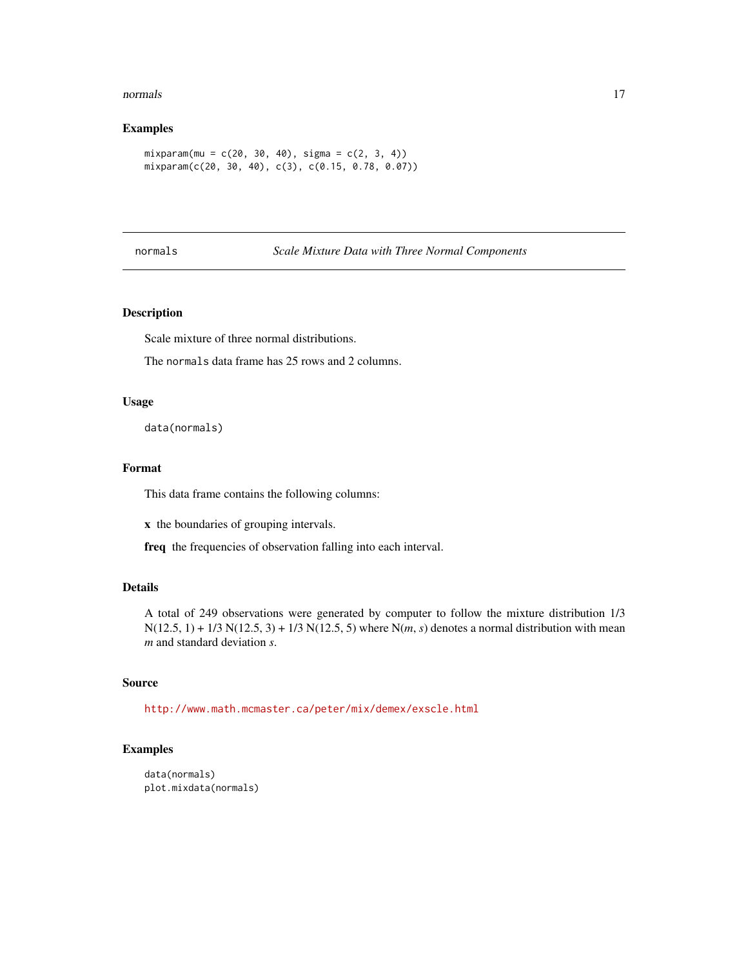#### <span id="page-16-0"></span>normals and the contract of the contract of the contract of the contract of the contract of the contract of the contract of the contract of the contract of the contract of the contract of the contract of the contract of th

# Examples

```
mixparam(mu = c(20, 30, 40), sigma = c(2, 3, 4))mixparam(c(20, 30, 40), c(3), c(0.15, 0.78, 0.07))
```
### normals *Scale Mixture Data with Three Normal Components*

#### Description

Scale mixture of three normal distributions.

The normals data frame has 25 rows and 2 columns.

# Usage

data(normals)

# Format

This data frame contains the following columns:

x the boundaries of grouping intervals.

freq the frequencies of observation falling into each interval.

# Details

A total of 249 observations were generated by computer to follow the mixture distribution 1/3 N(12.5, 1) + 1/3 N(12.5, 3) + 1/3 N(12.5, 5) where N(*m*, *s*) denotes a normal distribution with mean *m* and standard deviation *s*.

#### Source

<http://www.math.mcmaster.ca/peter/mix/demex/exscle.html>

```
data(normals)
plot.mixdata(normals)
```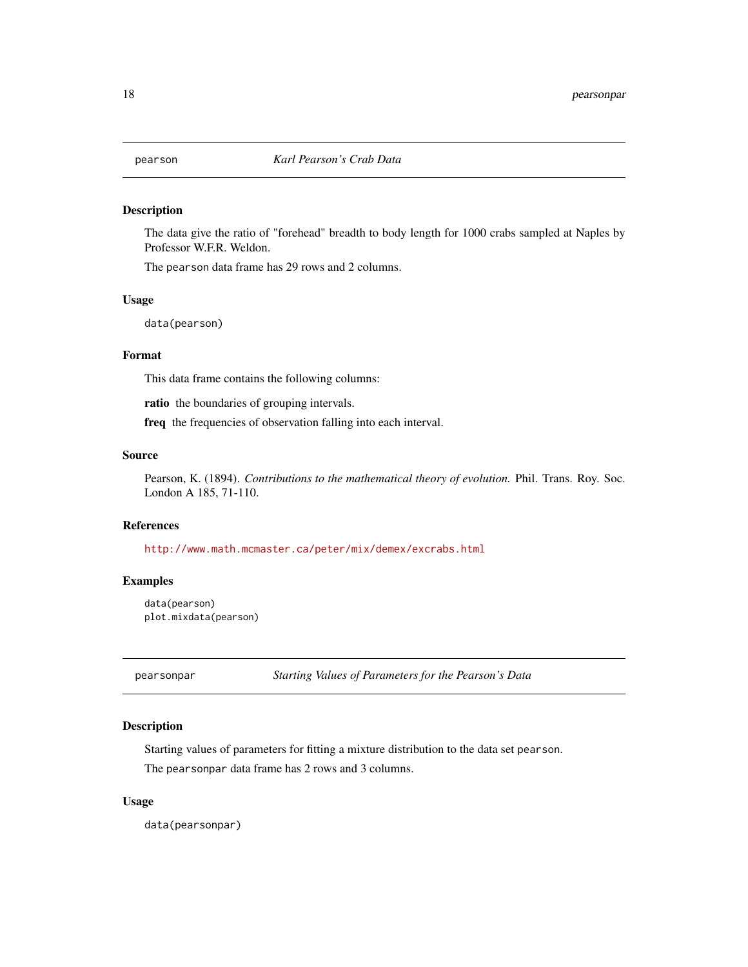<span id="page-17-0"></span>

The data give the ratio of "forehead" breadth to body length for 1000 crabs sampled at Naples by Professor W.F.R. Weldon.

The pearson data frame has 29 rows and 2 columns.

#### Usage

data(pearson)

# Format

This data frame contains the following columns:

ratio the boundaries of grouping intervals.

freq the frequencies of observation falling into each interval.

### Source

Pearson, K. (1894). *Contributions to the mathematical theory of evolution.* Phil. Trans. Roy. Soc. London A 185, 71-110.

#### References

<http://www.math.mcmaster.ca/peter/mix/demex/excrabs.html>

# Examples

```
data(pearson)
plot.mixdata(pearson)
```
pearsonpar *Starting Values of Parameters for the Pearson's Data*

# Description

Starting values of parameters for fitting a mixture distribution to the data set pearson.

The pearsonpar data frame has 2 rows and 3 columns.

#### Usage

data(pearsonpar)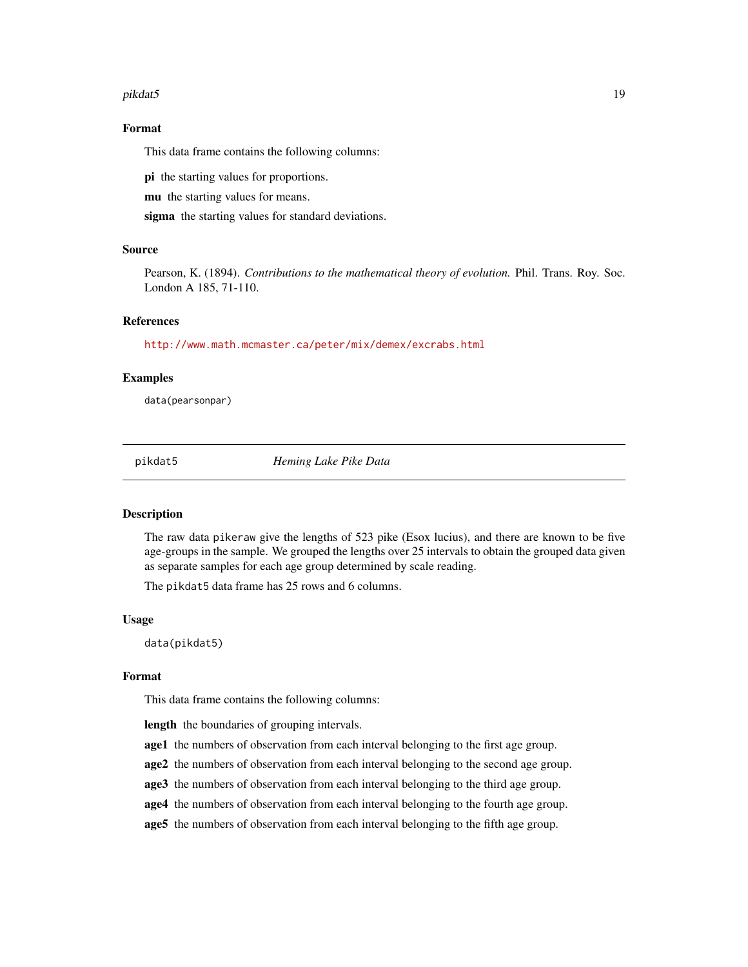#### <span id="page-18-0"></span>pikdat5 19

#### Format

This data frame contains the following columns:

pi the starting values for proportions.

mu the starting values for means.

sigma the starting values for standard deviations.

#### Source

Pearson, K. (1894). *Contributions to the mathematical theory of evolution.* Phil. Trans. Roy. Soc. London A 185, 71-110.

# References

<http://www.math.mcmaster.ca/peter/mix/demex/excrabs.html>

#### Examples

data(pearsonpar)

pikdat5 *Heming Lake Pike Data*

#### Description

The raw data pikeraw give the lengths of 523 pike (Esox lucius), and there are known to be five age-groups in the sample. We grouped the lengths over 25 intervals to obtain the grouped data given as separate samples for each age group determined by scale reading.

The pikdat5 data frame has 25 rows and 6 columns.

#### Usage

data(pikdat5)

#### Format

This data frame contains the following columns:

length the boundaries of grouping intervals.

- age1 the numbers of observation from each interval belonging to the first age group.
- age2 the numbers of observation from each interval belonging to the second age group.
- age3 the numbers of observation from each interval belonging to the third age group.
- age4 the numbers of observation from each interval belonging to the fourth age group.
- age5 the numbers of observation from each interval belonging to the fifth age group.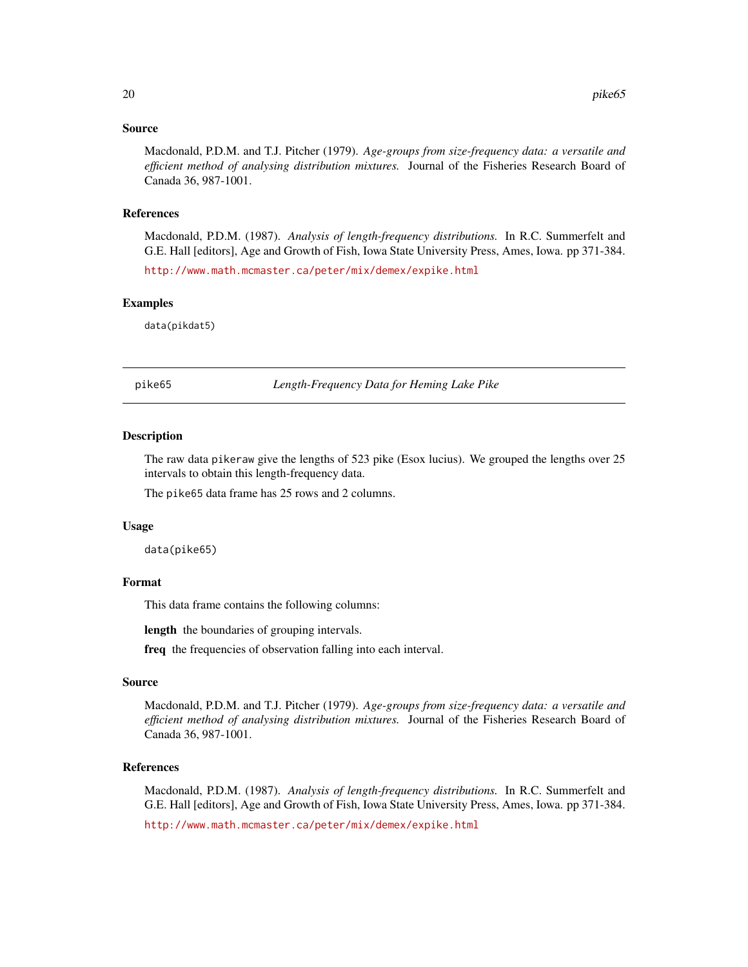#### <span id="page-19-0"></span>Source

Macdonald, P.D.M. and T.J. Pitcher (1979). *Age-groups from size-frequency data: a versatile and efficient method of analysing distribution mixtures.* Journal of the Fisheries Research Board of Canada 36, 987-1001.

#### References

Macdonald, P.D.M. (1987). *Analysis of length-frequency distributions.* In R.C. Summerfelt and G.E. Hall [editors], Age and Growth of Fish, Iowa State University Press, Ames, Iowa. pp 371-384.

<http://www.math.mcmaster.ca/peter/mix/demex/expike.html>

#### Examples

data(pikdat5)

pike65 *Length-Frequency Data for Heming Lake Pike*

#### Description

The raw data pikeraw give the lengths of 523 pike (Esox lucius). We grouped the lengths over 25 intervals to obtain this length-frequency data.

The pike65 data frame has 25 rows and 2 columns.

#### Usage

data(pike65)

#### Format

This data frame contains the following columns:

length the boundaries of grouping intervals.

freq the frequencies of observation falling into each interval.

#### Source

Macdonald, P.D.M. and T.J. Pitcher (1979). *Age-groups from size-frequency data: a versatile and efficient method of analysing distribution mixtures.* Journal of the Fisheries Research Board of Canada 36, 987-1001.

#### References

Macdonald, P.D.M. (1987). *Analysis of length-frequency distributions.* In R.C. Summerfelt and G.E. Hall [editors], Age and Growth of Fish, Iowa State University Press, Ames, Iowa. pp 371-384.

<http://www.math.mcmaster.ca/peter/mix/demex/expike.html>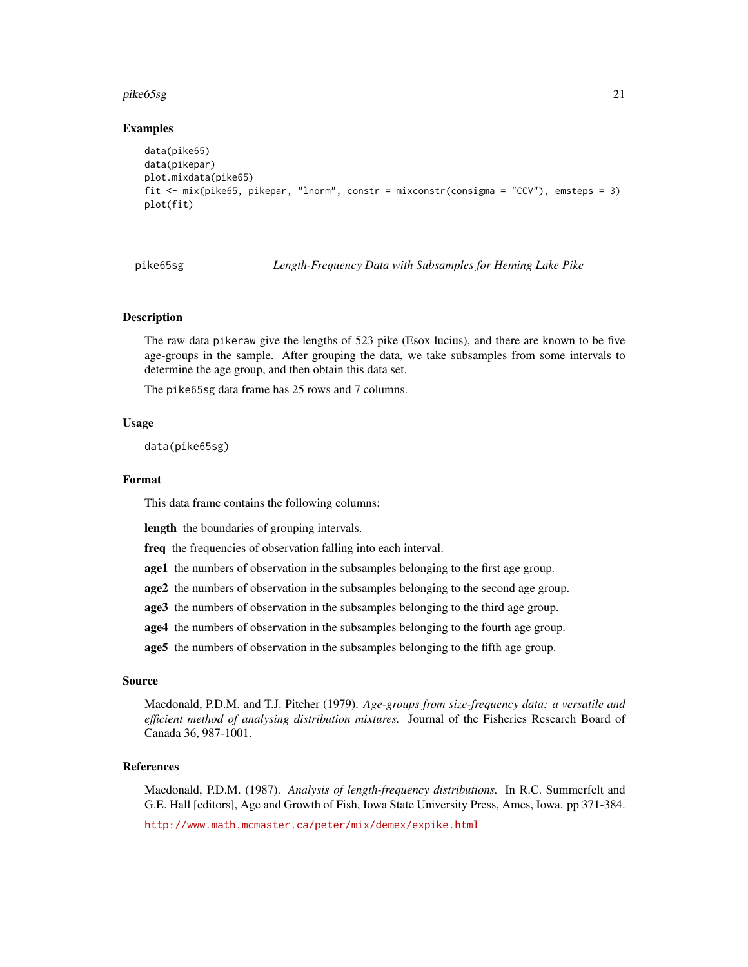#### <span id="page-20-0"></span>pike65sg 21

#### Examples

```
data(pike65)
data(pikepar)
plot.mixdata(pike65)
fit <- mix(pike65, pikepar, "lnorm", constr = mixconstr(consigma = "CCV"), emsteps = 3)
plot(fit)
```
pike65sg *Length-Frequency Data with Subsamples for Heming Lake Pike*

#### **Description**

The raw data pikeraw give the lengths of 523 pike (Esox lucius), and there are known to be five age-groups in the sample. After grouping the data, we take subsamples from some intervals to determine the age group, and then obtain this data set.

The pike65sg data frame has 25 rows and 7 columns.

# Usage

data(pike65sg)

#### Format

This data frame contains the following columns:

length the boundaries of grouping intervals.

freq the frequencies of observation falling into each interval.

age1 the numbers of observation in the subsamples belonging to the first age group.

age2 the numbers of observation in the subsamples belonging to the second age group.

age3 the numbers of observation in the subsamples belonging to the third age group.

age4 the numbers of observation in the subsamples belonging to the fourth age group.

age5 the numbers of observation in the subsamples belonging to the fifth age group.

#### Source

Macdonald, P.D.M. and T.J. Pitcher (1979). *Age-groups from size-frequency data: a versatile and efficient method of analysing distribution mixtures.* Journal of the Fisheries Research Board of Canada 36, 987-1001.

#### References

Macdonald, P.D.M. (1987). *Analysis of length-frequency distributions.* In R.C. Summerfelt and G.E. Hall [editors], Age and Growth of Fish, Iowa State University Press, Ames, Iowa. pp 371-384.

<http://www.math.mcmaster.ca/peter/mix/demex/expike.html>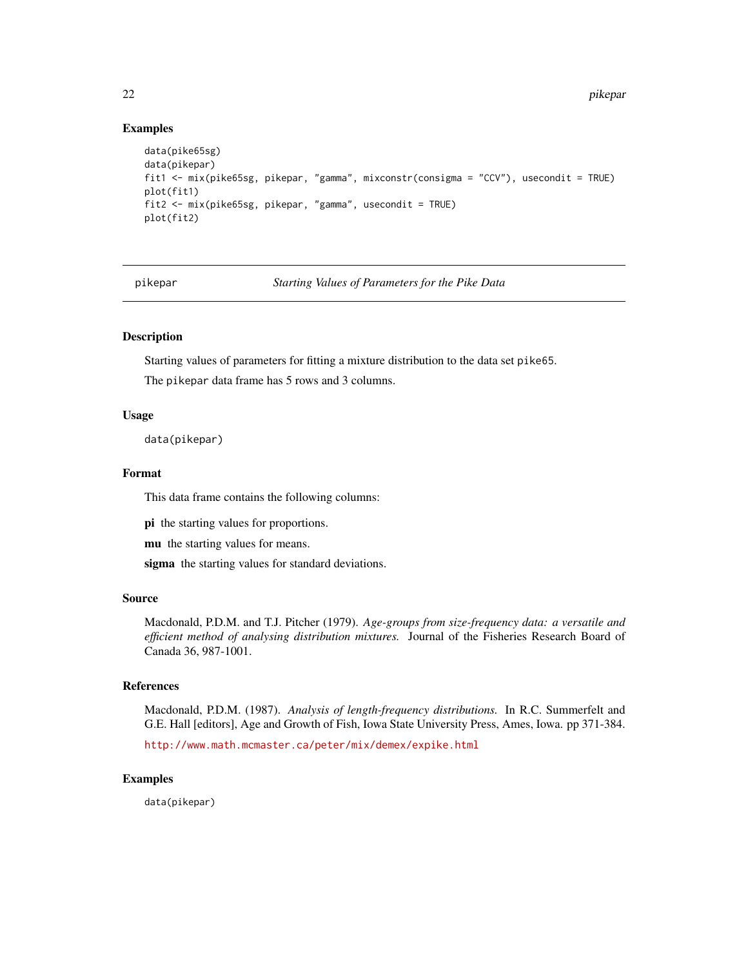#### Examples

```
data(pike65sg)
data(pikepar)
fit1 <- mix(pike65sg, pikepar, "gamma", mixconstr(consigma = "CCV"), usecondit = TRUE)
plot(fit1)
fit2 <- mix(pike65sg, pikepar, "gamma", usecondit = TRUE)
plot(fit2)
```
pikepar *Starting Values of Parameters for the Pike Data*

# Description

Starting values of parameters for fitting a mixture distribution to the data set pike65.

The pikepar data frame has 5 rows and 3 columns.

#### Usage

data(pikepar)

#### Format

This data frame contains the following columns:

pi the starting values for proportions.

mu the starting values for means.

sigma the starting values for standard deviations.

#### Source

Macdonald, P.D.M. and T.J. Pitcher (1979). *Age-groups from size-frequency data: a versatile and efficient method of analysing distribution mixtures.* Journal of the Fisheries Research Board of Canada 36, 987-1001.

#### References

Macdonald, P.D.M. (1987). *Analysis of length-frequency distributions.* In R.C. Summerfelt and G.E. Hall [editors], Age and Growth of Fish, Iowa State University Press, Ames, Iowa. pp 371-384.

<http://www.math.mcmaster.ca/peter/mix/demex/expike.html>

#### Examples

data(pikepar)

<span id="page-21-0"></span>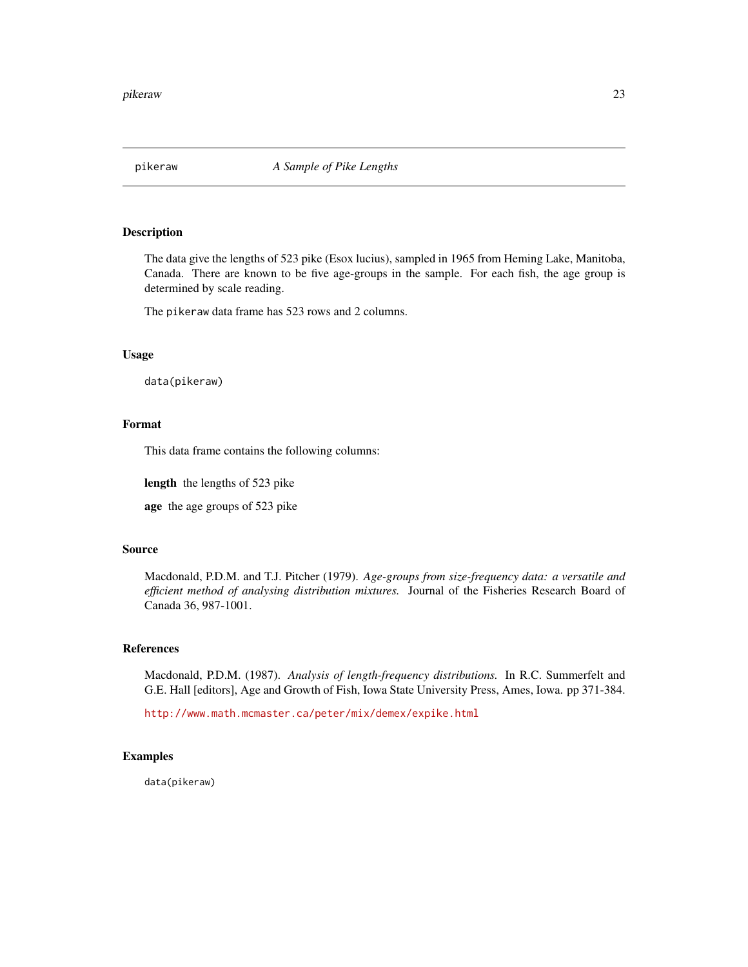<span id="page-22-0"></span>

The data give the lengths of 523 pike (Esox lucius), sampled in 1965 from Heming Lake, Manitoba, Canada. There are known to be five age-groups in the sample. For each fish, the age group is determined by scale reading.

The pikeraw data frame has 523 rows and 2 columns.

# Usage

data(pikeraw)

# Format

This data frame contains the following columns:

length the lengths of 523 pike

age the age groups of 523 pike

# Source

Macdonald, P.D.M. and T.J. Pitcher (1979). *Age-groups from size-frequency data: a versatile and efficient method of analysing distribution mixtures.* Journal of the Fisheries Research Board of Canada 36, 987-1001.

#### References

Macdonald, P.D.M. (1987). *Analysis of length-frequency distributions.* In R.C. Summerfelt and G.E. Hall [editors], Age and Growth of Fish, Iowa State University Press, Ames, Iowa. pp 371-384.

<http://www.math.mcmaster.ca/peter/mix/demex/expike.html>

#### Examples

data(pikeraw)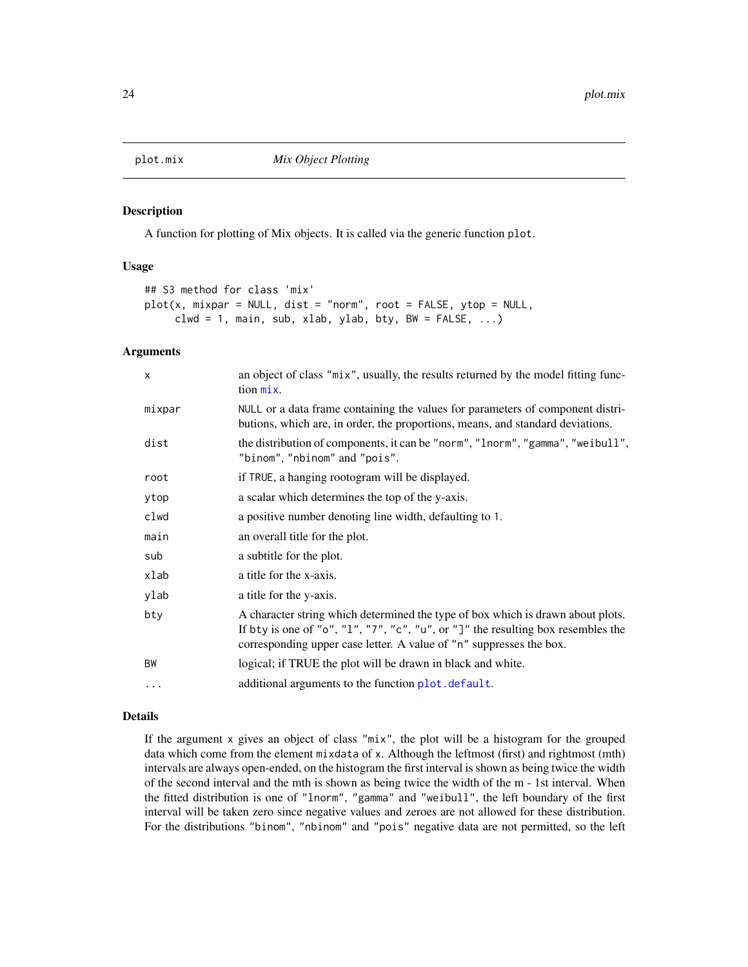<span id="page-23-1"></span><span id="page-23-0"></span>

A function for plotting of Mix objects. It is called via the generic function plot.

# Usage

```
## S3 method for class 'mix'
plot(x, mixpar = NULL, dist = "norm", root = FALSE, ytop = NULL,clwd = 1, main, sub, xlab, ylab, bty, BW = FALSE, ...)
```
# Arguments

| $\times$ | an object of class "mix", usually, the results returned by the model fitting func-<br>$\[\text{tion}\ \text{mix}\]$ .                                                                                                                      |
|----------|--------------------------------------------------------------------------------------------------------------------------------------------------------------------------------------------------------------------------------------------|
| mixpar   | NULL or a data frame containing the values for parameters of component distri-<br>butions, which are, in order, the proportions, means, and standard deviations.                                                                           |
| dist     | the distribution of components, it can be "norm", "lnorm", "gamma", "weibull",<br>"binom", "nbinom" and "pois".                                                                                                                            |
| root     | if TRUE, a hanging rootogram will be displayed.                                                                                                                                                                                            |
| ytop     | a scalar which determines the top of the y-axis.                                                                                                                                                                                           |
| clwd     | a positive number denoting line width, defaulting to 1.                                                                                                                                                                                    |
| main     | an overall title for the plot.                                                                                                                                                                                                             |
| sub      | a subtitle for the plot.                                                                                                                                                                                                                   |
| xlab     | a title for the x-axis.                                                                                                                                                                                                                    |
| ylab     | a title for the y-axis.                                                                                                                                                                                                                    |
| bty      | A character string which determined the type of box which is drawn about plots.<br>If bty is one of "o", "1", "7", "c", "u", or "]" the resulting box resembles the<br>corresponding upper case letter. A value of "n" suppresses the box. |
| BW       | logical; if TRUE the plot will be drawn in black and white.                                                                                                                                                                                |
| .        | additional arguments to the function plot. default.                                                                                                                                                                                        |
|          |                                                                                                                                                                                                                                            |

#### Details

If the argument x gives an object of class "mix", the plot will be a histogram for the grouped data which come from the element mixdata of x. Although the leftmost (first) and rightmost (mth) intervals are always open-ended, on the histogram the first interval is shown as being twice the width of the second interval and the mth is shown as being twice the width of the m - 1st interval. When the fitted distribution is one of "lnorm", "gamma" and "weibull", the left boundary of the first interval will be taken zero since negative values and zeroes are not allowed for these distribution. For the distributions "binom", "nbinom" and "pois" negative data are not permitted, so the left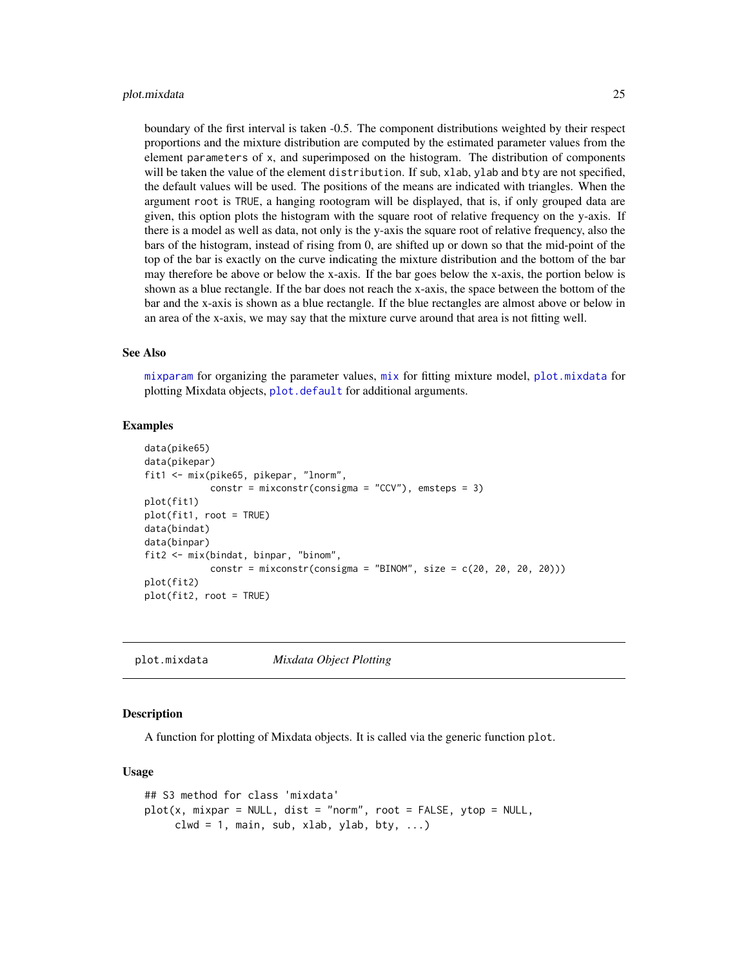#### <span id="page-24-0"></span>plot.mixdata 25

boundary of the first interval is taken -0.5. The component distributions weighted by their respect proportions and the mixture distribution are computed by the estimated parameter values from the element parameters of x, and superimposed on the histogram. The distribution of components will be taken the value of the element distribution. If sub, xlab, ylab and bty are not specified, the default values will be used. The positions of the means are indicated with triangles. When the argument root is TRUE, a hanging rootogram will be displayed, that is, if only grouped data are given, this option plots the histogram with the square root of relative frequency on the y-axis. If there is a model as well as data, not only is the y-axis the square root of relative frequency, also the bars of the histogram, instead of rising from 0, are shifted up or down so that the mid-point of the top of the bar is exactly on the curve indicating the mixture distribution and the bottom of the bar may therefore be above or below the x-axis. If the bar goes below the x-axis, the portion below is shown as a blue rectangle. If the bar does not reach the x-axis, the space between the bottom of the bar and the x-axis is shown as a blue rectangle. If the blue rectangles are almost above or below in an area of the x-axis, we may say that the mixture curve around that area is not fitting well.

#### See Also

[mixparam](#page-15-1) for organizing the parameter values,  $mix$  for fitting mixture model, [plot.mixdata](#page-24-1) for plotting Mixdata objects, [plot.default](#page-0-0) for additional arguments.

#### Examples

```
data(pike65)
data(pikepar)
fit1 <- mix(pike65, pikepar, "lnorm",
            constr = mixconstr(consigma = "CCV"), emsteps = 3)
plot(fit1)
plot(fit1, root = TRUE)
data(bindat)
data(binpar)
fit2 <- mix(bindat, binpar, "binom",
            constr = mixconstr(consigma = "BINOM", size = c(20, 20, 20, 20))
plot(fit2)
plot(fit2, root = TRUE)
```
<span id="page-24-1"></span>plot.mixdata *Mixdata Object Plotting*

#### **Description**

A function for plotting of Mixdata objects. It is called via the generic function plot.

#### Usage

```
## S3 method for class 'mixdata'
plot(x, mixpar = NULL, dist = "norm", root = FALSE, ytop = NULL,clwd = 1, main, sub, xlab, ylab, bty, \ldots)
```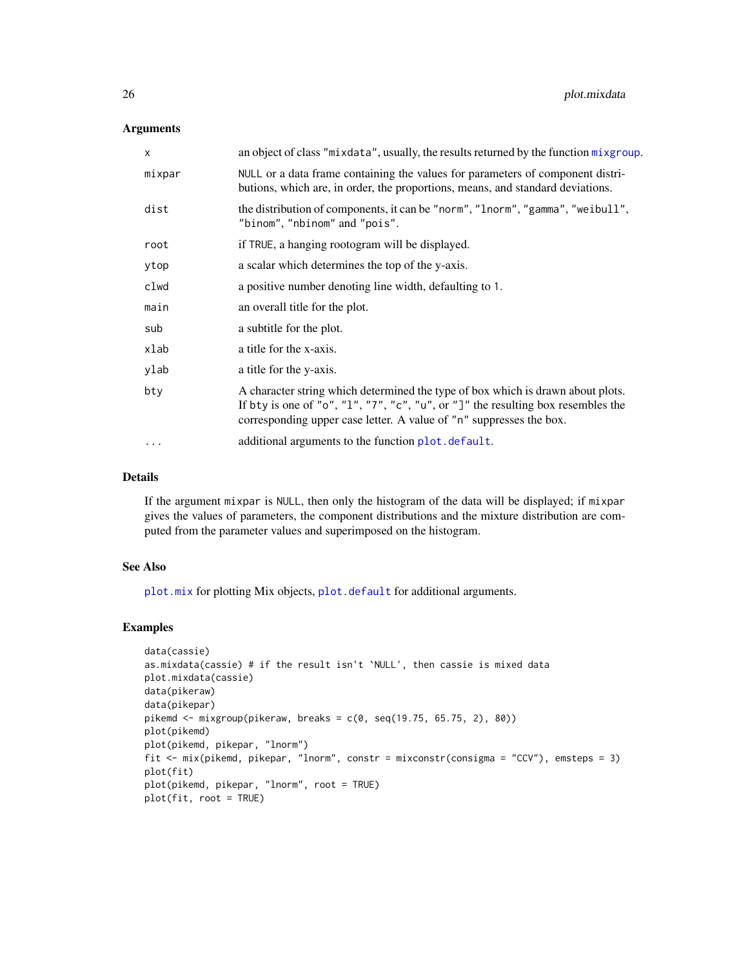#### <span id="page-25-0"></span>Arguments

| $\times$  | an object of class "mixdata", usually, the results returned by the function mixgroup.                                                                                                                                                      |
|-----------|--------------------------------------------------------------------------------------------------------------------------------------------------------------------------------------------------------------------------------------------|
| mixpar    | NULL or a data frame containing the values for parameters of component distri-<br>butions, which are, in order, the proportions, means, and standard deviations.                                                                           |
| dist      | the distribution of components, it can be "norm", "lnorm", "gamma", "weibull",<br>"binom", "nbinom" and "pois".                                                                                                                            |
| root      | if TRUE, a hanging rootogram will be displayed.                                                                                                                                                                                            |
| ytop      | a scalar which determines the top of the y-axis.                                                                                                                                                                                           |
| clwd      | a positive number denoting line width, defaulting to 1.                                                                                                                                                                                    |
| main      | an overall title for the plot.                                                                                                                                                                                                             |
| sub       | a subtitle for the plot.                                                                                                                                                                                                                   |
| xlab      | a title for the x-axis.                                                                                                                                                                                                                    |
| ylab      | a title for the y-axis.                                                                                                                                                                                                                    |
| bty       | A character string which determined the type of box which is drawn about plots.<br>If bty is one of "o", "1", "7", "c", "u", or "]" the resulting box resembles the<br>corresponding upper case letter. A value of "n" suppresses the box. |
| $\ddotsc$ | additional arguments to the function plot. default.                                                                                                                                                                                        |
|           |                                                                                                                                                                                                                                            |

#### Details

If the argument mixpar is NULL, then only the histogram of the data will be displayed; if mixpar gives the values of parameters, the component distributions and the mixture distribution are computed from the parameter values and superimposed on the histogram.

#### See Also

[plot.mix](#page-23-1) for plotting Mix objects, [plot.default](#page-0-0) for additional arguments.

```
data(cassie)
as.mixdata(cassie) # if the result isn't `NULL', then cassie is mixed data
plot.mixdata(cassie)
data(pikeraw)
data(pikepar)
pikemd \le mixgroup(pikeraw, breaks = c(0, seq(19.75, 65.75, 2), 80))
plot(pikemd)
plot(pikemd, pikepar, "lnorm")
fit <- mix(pikemd, pikepar, "lnorm", constr = mixconstr(consigma = "CCV"), emsteps = 3)
plot(fit)
plot(pikemd, pikepar, "lnorm", root = TRUE)
plot(fit, root = TRUE)
```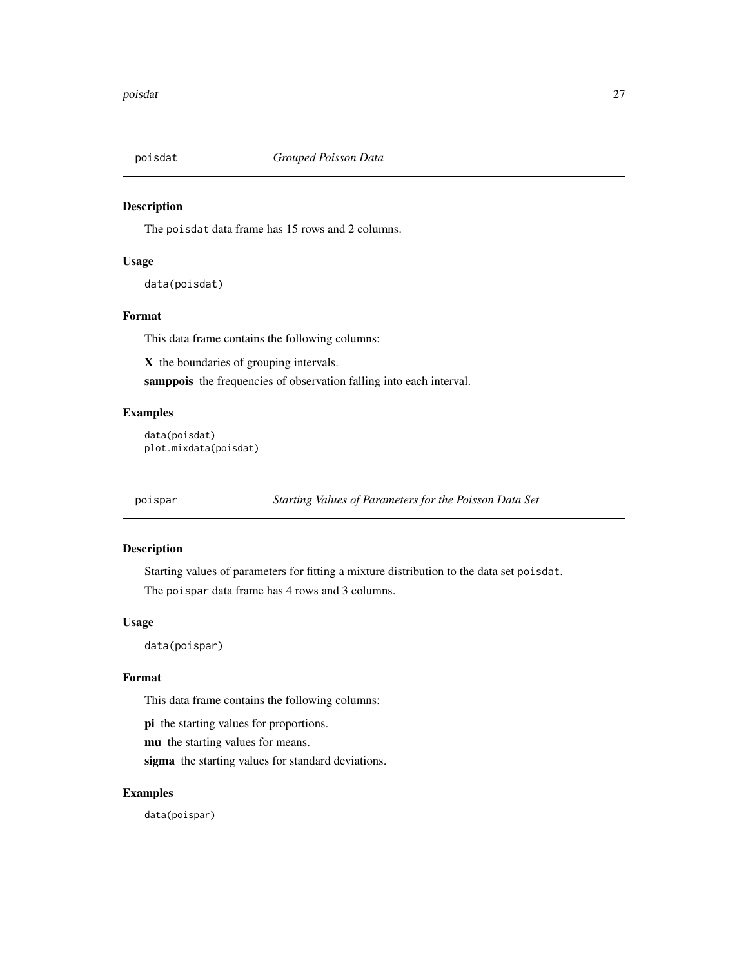<span id="page-26-0"></span>

The poisdat data frame has 15 rows and 2 columns.

# Usage

data(poisdat)

# Format

This data frame contains the following columns:

X the boundaries of grouping intervals.

samppois the frequencies of observation falling into each interval.

#### Examples

```
data(poisdat)
plot.mixdata(poisdat)
```
poispar *Starting Values of Parameters for the Poisson Data Set*

# Description

Starting values of parameters for fitting a mixture distribution to the data set poisdat. The poispar data frame has 4 rows and 3 columns.

#### Usage

data(poispar)

# Format

This data frame contains the following columns:

pi the starting values for proportions.

mu the starting values for means.

sigma the starting values for standard deviations.

# Examples

data(poispar)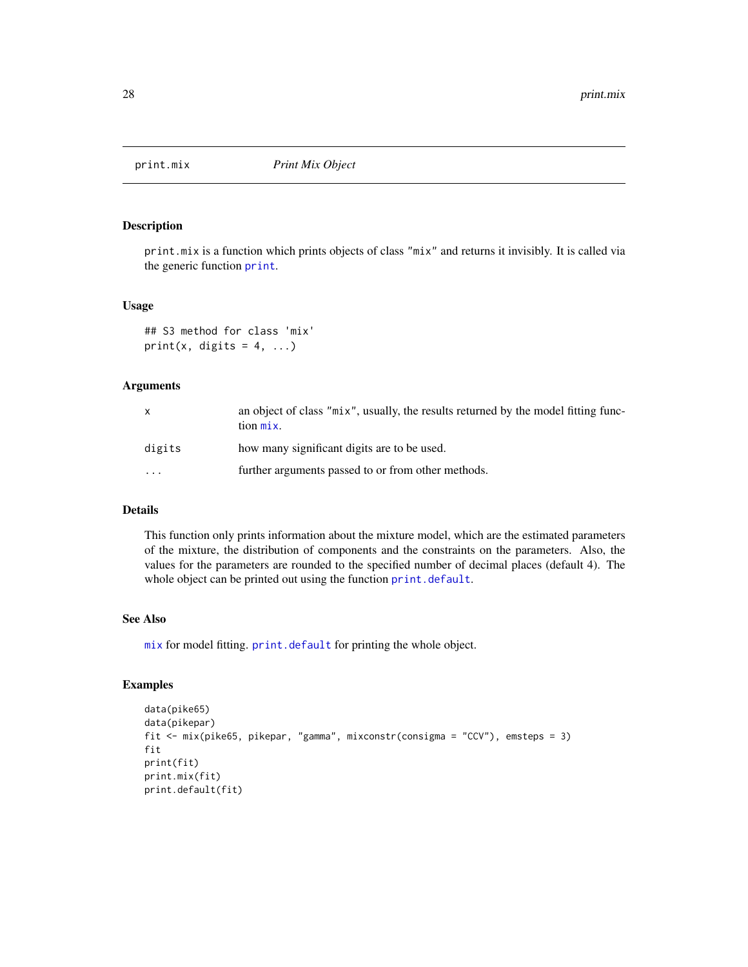<span id="page-27-0"></span>

print.mix is a function which prints objects of class "mix" and returns it invisibly. It is called via the generic function [print](#page-0-0).

#### Usage

```
## S3 method for class 'mix'
print(x, digits = 4, ...)
```
#### Arguments

| X        | an object of class "mix", usually, the results returned by the model fitting func-<br>tion mix. |
|----------|-------------------------------------------------------------------------------------------------|
| digits   | how many significant digits are to be used.                                                     |
| $\cdots$ | further arguments passed to or from other methods.                                              |

# Details

This function only prints information about the mixture model, which are the estimated parameters of the mixture, the distribution of components and the constraints on the parameters. Also, the values for the parameters are rounded to the specified number of decimal places (default 4). The whole object can be printed out using the function [print.default](#page-0-0).

# See Also

[mix](#page-10-1) for model fitting. [print.default](#page-0-0) for printing the whole object.

```
data(pike65)
data(pikepar)
fit <- mix(pike65, pikepar, "gamma", mixconstr(consigma = "CCV"), emsteps = 3)
fit
print(fit)
print.mix(fit)
print.default(fit)
```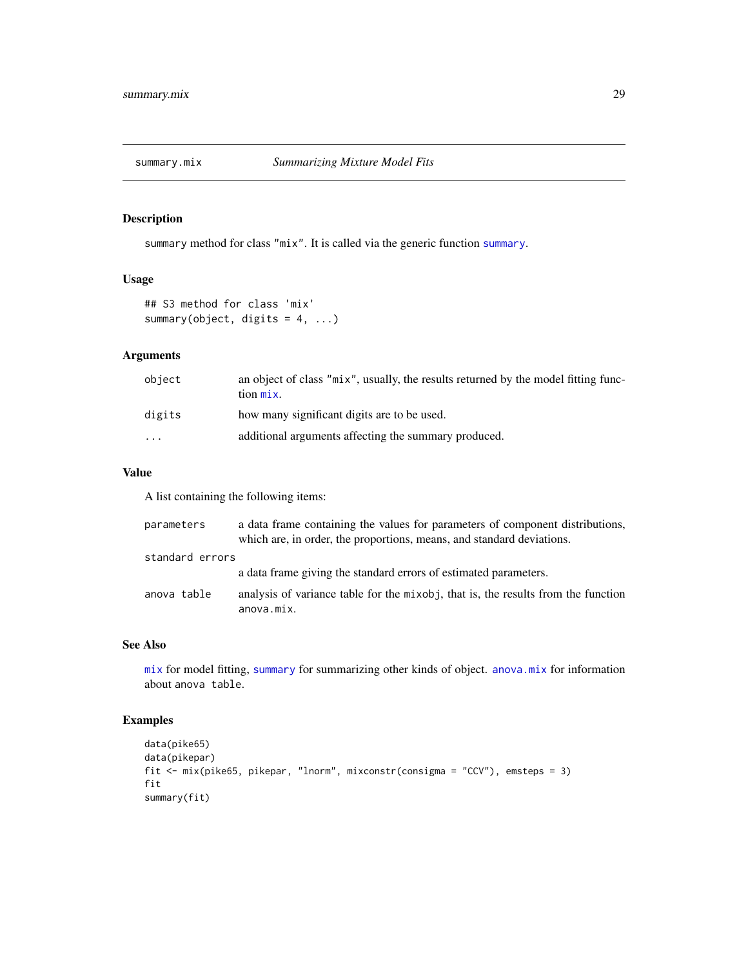<span id="page-28-0"></span>

summary method for class "mix". It is called via the generic function [summary](#page-0-0).

#### Usage

```
## S3 method for class 'mix'
summary(object, digits = 4, ...)
```
# Arguments

| object   | an object of class "mix", usually, the results returned by the model fitting func-<br>$\[\text{tion}\ \text{mix}\]$ |
|----------|---------------------------------------------------------------------------------------------------------------------|
| digits   | how many significant digits are to be used.                                                                         |
| $\cdots$ | additional arguments affecting the summary produced.                                                                |

# Value

A list containing the following items:

| parameters      | a data frame containing the values for parameters of component distributions,<br>which are, in order, the proportions, means, and standard deviations. |
|-----------------|--------------------------------------------------------------------------------------------------------------------------------------------------------|
| standard errors |                                                                                                                                                        |
|                 | a data frame giving the standard errors of estimated parameters.                                                                                       |
| anova table     | analysis of variance table for the mixobj, that is, the results from the function<br>anova.mix.                                                        |

#### See Also

[mix](#page-10-1) for model fitting, [summary](#page-0-0) for summarizing other kinds of object. [anova.mix](#page-1-1) for information about anova table.

```
data(pike65)
data(pikepar)
fit <- mix(pike65, pikepar, "lnorm", mixconstr(consigma = "CCV"), emsteps = 3)
fit
summary(fit)
```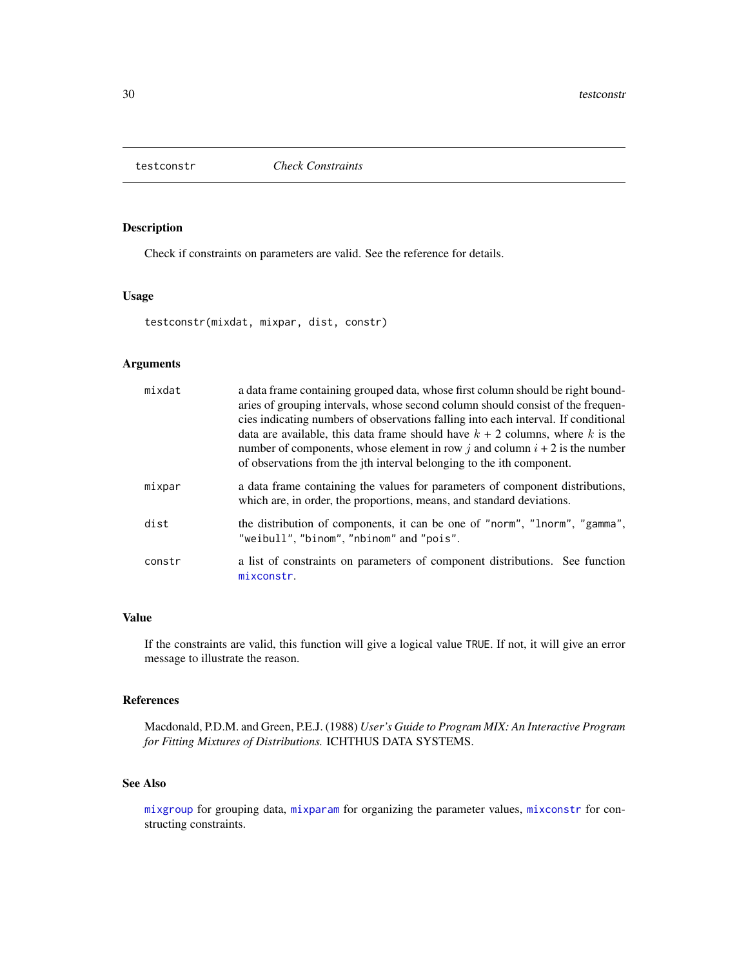<span id="page-29-0"></span>

Check if constraints on parameters are valid. See the reference for details.

# Usage

testconstr(mixdat, mixpar, dist, constr)

# Arguments

| mixdat | a data frame containing grouped data, whose first column should be right bound-<br>aries of grouping intervals, whose second column should consist of the frequen-<br>cies indicating numbers of observations falling into each interval. If conditional<br>data are available, this data frame should have $k + 2$ columns, where k is the<br>number of components, whose element in row j and column $i + 2$ is the number<br>of observations from the jth interval belonging to the ith component. |
|--------|-------------------------------------------------------------------------------------------------------------------------------------------------------------------------------------------------------------------------------------------------------------------------------------------------------------------------------------------------------------------------------------------------------------------------------------------------------------------------------------------------------|
| mixpar | a data frame containing the values for parameters of component distributions,<br>which are, in order, the proportions, means, and standard deviations.                                                                                                                                                                                                                                                                                                                                                |
| dist   | the distribution of components, it can be one of "norm", "lnorm", "gamma",<br>"weibull", "binom", "nbinom" and "pois".                                                                                                                                                                                                                                                                                                                                                                                |
| constr | a list of constraints on parameters of component distributions. See function<br>mixconstr.                                                                                                                                                                                                                                                                                                                                                                                                            |

# Value

If the constraints are valid, this function will give a logical value TRUE. If not, it will give an error message to illustrate the reason.

#### References

Macdonald, P.D.M. and Green, P.E.J. (1988) *User's Guide to Program MIX: An Interactive Program for Fitting Mixtures of Distributions.* ICHTHUS DATA SYSTEMS.

# See Also

[mixgroup](#page-14-1) for grouping data, [mixparam](#page-15-1) for organizing the parameter values, [mixconstr](#page-12-1) for constructing constraints.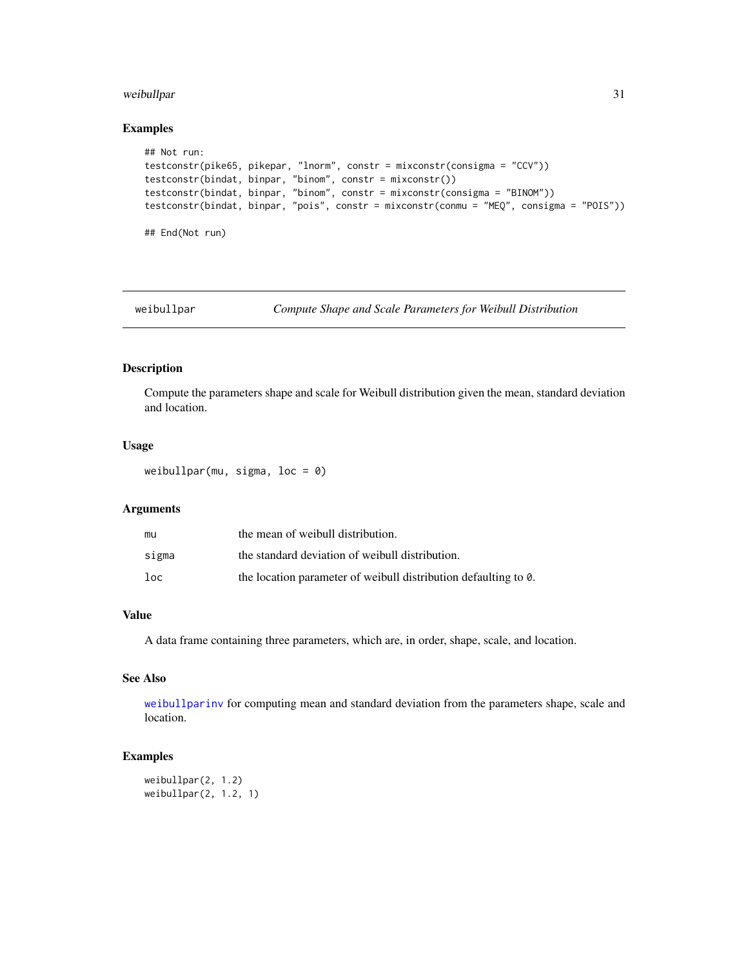# <span id="page-30-0"></span>weibullpar 31

# Examples

```
## Not run:
testconstr(pike65, pikepar, "lnorm", constr = mixconstr(consigma = "CCV"))
testconstr(bindat, binpar, "binom", constr = mixconstr())
testconstr(bindat, binpar, "binom", constr = mixconstr(consigma = "BINOM"))
testconstr(bindat, binpar, "pois", constr = mixconstr(conmu = "MEQ", consigma = "POIS"))
## End(Not run)
```
<span id="page-30-1"></span>

weibullpar *Compute Shape and Scale Parameters for Weibull Distribution*

#### Description

Compute the parameters shape and scale for Weibull distribution given the mean, standard deviation and location.

# Usage

weibullpar(mu, sigma,  $loc = 0$ )

#### Arguments

| mu    | the mean of weibull distribution.                               |
|-------|-----------------------------------------------------------------|
| sigma | the standard deviation of weibull distribution.                 |
| loc   | the location parameter of weibull distribution defaulting to 0. |

#### Value

A data frame containing three parameters, which are, in order, shape, scale, and location.

# See Also

[weibullparinv](#page-31-1) for computing mean and standard deviation from the parameters shape, scale and location.

```
weibullpar(2, 1.2)
weibullpar(2, 1.2, 1)
```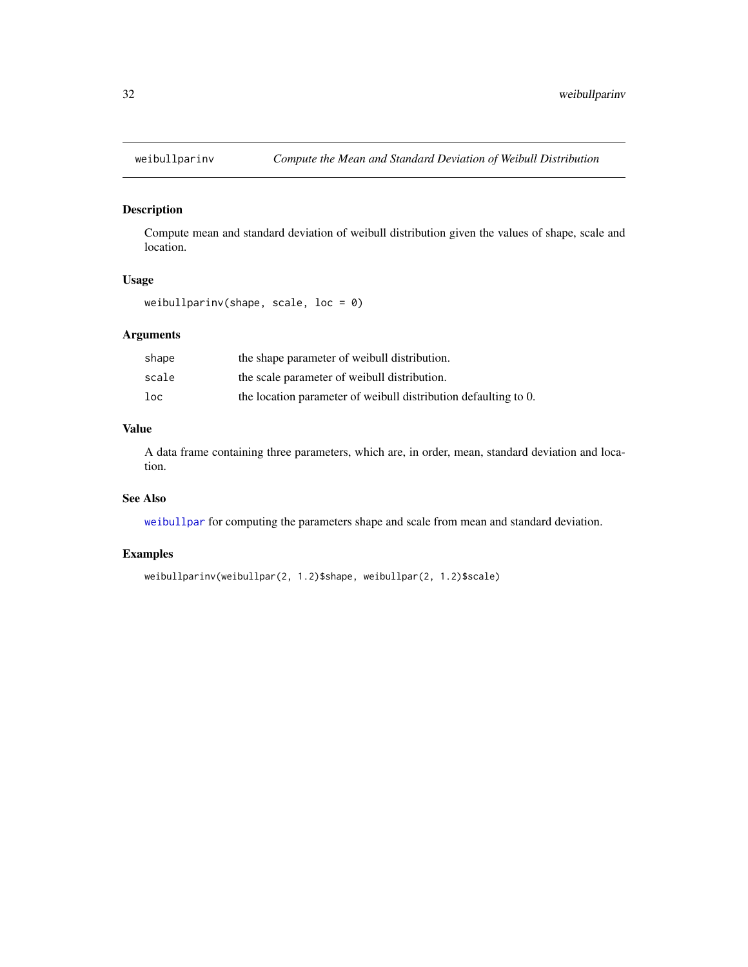<span id="page-31-1"></span><span id="page-31-0"></span>

Compute mean and standard deviation of weibull distribution given the values of shape, scale and location.

#### Usage

weibullparinv(shape, scale, loc =  $0$ )

# Arguments

| shape | the shape parameter of weibull distribution.                    |
|-------|-----------------------------------------------------------------|
| scale | the scale parameter of weibull distribution.                    |
| loc   | the location parameter of weibull distribution defaulting to 0. |

# Value

A data frame containing three parameters, which are, in order, mean, standard deviation and location.

# See Also

[weibullpar](#page-30-1) for computing the parameters shape and scale from mean and standard deviation.

```
weibullparinv(weibullpar(2, 1.2)$shape, weibullpar(2, 1.2)$scale)
```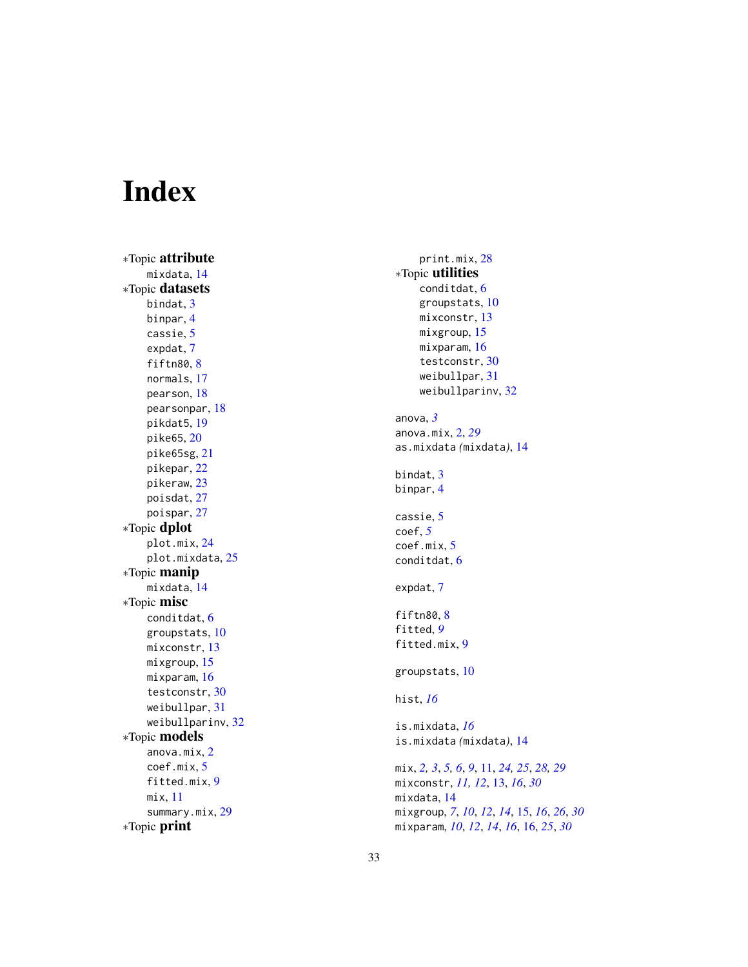# <span id="page-32-0"></span>Index

∗Topic attribute mixdata , [14](#page-13-0) ∗Topic datasets bindat, [3](#page-2-0) binpar , [4](#page-3-0) cassie , [5](#page-4-0) expdat , [7](#page-6-0) fiftn[8](#page-7-0)0,8 normals , [17](#page-16-0) pearson , [18](#page-17-0) pearsonpar , [18](#page-17-0) pikdat5 , [19](#page-18-0) pike65 , [20](#page-19-0) pike65sg , [21](#page-20-0) pikepar , [22](#page-21-0) pikeraw , [23](#page-22-0) poisdat , [27](#page-26-0) poispar , [27](#page-26-0) ∗Topic dplot plot.mix , [24](#page-23-0) plot.mixdata, 2<mark>5</mark> ∗Topic manip mixdata , [14](#page-13-0) ∗Topic misc conditdat , [6](#page-5-0) groupstats , [10](#page-9-0) mixconstr , [13](#page-12-0) mixgroup , [15](#page-14-0) mixparam , [16](#page-15-0) testconstr , [30](#page-29-0) weibullpar , [31](#page-30-0) weibullparinv, [32](#page-31-0) ∗Topic models anova.mix , [2](#page-1-0) coef.mix , [5](#page-4-0) fitted.mix , [9](#page-8-0) mix , [11](#page-10-0) summary.mix, [29](#page-28-0) ∗Topic print

print.mix , [28](#page-27-0) ∗Topic utilities conditdat , [6](#page-5-0) groupstats , [10](#page-9-0) mixconstr , [13](#page-12-0) mixgroup , [15](#page-14-0) mixparam , [16](#page-15-0) testconstr , [30](#page-29-0) weibullpar , [31](#page-30-0) weibullparinv, [32](#page-31-0) anova , *[3](#page-2-0)* anova.mix , [2](#page-1-0) , *[29](#page-28-0)* as.mixdata *(*mixdata *)* , [14](#page-13-0) bindat, [3](#page-2-0) binpar , [4](#page-3-0) cassie , [5](#page-4-0) coef , *[5](#page-4-0)* coef.mix , [5](#page-4-0) conditdat , [6](#page-5-0) expdat , [7](#page-6-0) fiftn[8](#page-7-0)0,8 fitted , *[9](#page-8-0)* fitted.mix , [9](#page-8-0) groupstats , [10](#page-9-0) hist , *[16](#page-15-0)* is.mixdata , *[16](#page-15-0)* is.mixdata *(*mixdata *)* , [14](#page-13-0) mix, [2](#page-1-0), [3](#page-2-0), [5](#page-4-0), [6](#page-5-0), [9](#page-8-0), [11](#page-10-0), [24](#page-23-0), [25](#page-24-0), [28](#page-27-0), [29](#page-28-0) mixconstr , *[11](#page-10-0) , [12](#page-11-0)* , [13](#page-12-0) , *[16](#page-15-0)* , *[30](#page-29-0)* mixdata , [14](#page-13-0) mixgroup , *[7](#page-6-0)* , *[10](#page-9-0)* , *[12](#page-11-0)* , *[14](#page-13-0)* , [15](#page-14-0) , *[16](#page-15-0)* , *[26](#page-25-0)* , *[30](#page-29-0)* mixparam , *[10](#page-9-0)* , *[12](#page-11-0)* , *[14](#page-13-0)* , *[16](#page-15-0)* , [16](#page-15-0) , *[25](#page-24-0)* , *[30](#page-29-0)*